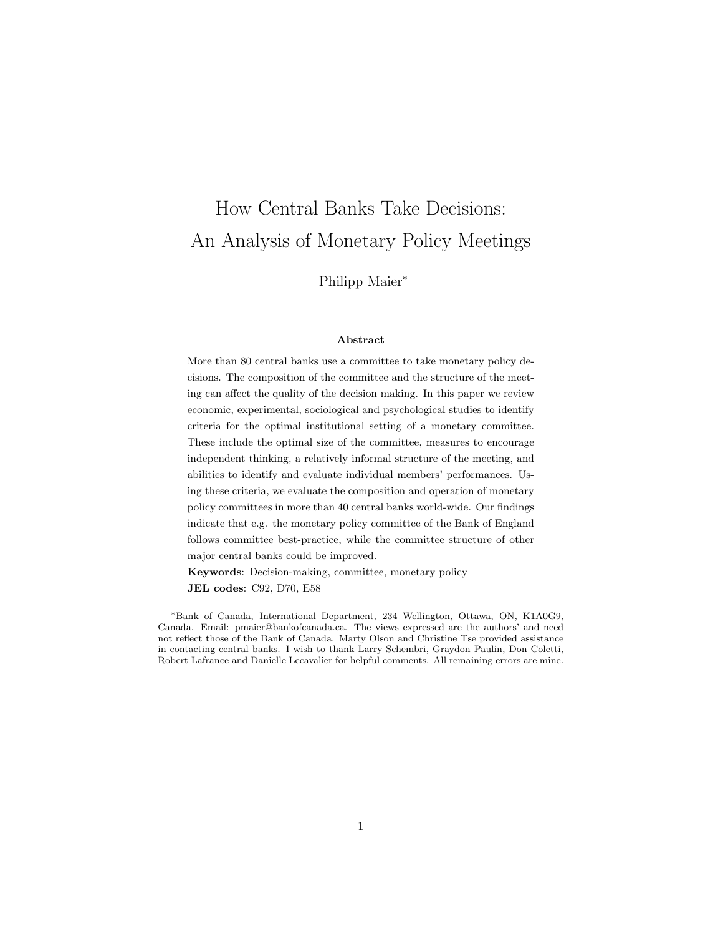# How Central Banks Take Decisions: An Analysis of Monetary Policy Meetings

Philipp Maier<sup>∗</sup>

#### Abstract

More than 80 central banks use a committee to take monetary policy decisions. The composition of the committee and the structure of the meeting can affect the quality of the decision making. In this paper we review economic, experimental, sociological and psychological studies to identify criteria for the optimal institutional setting of a monetary committee. These include the optimal size of the committee, measures to encourage independent thinking, a relatively informal structure of the meeting, and abilities to identify and evaluate individual members' performances. Using these criteria, we evaluate the composition and operation of monetary policy committees in more than 40 central banks world-wide. Our findings indicate that e.g. the monetary policy committee of the Bank of England follows committee best-practice, while the committee structure of other major central banks could be improved.

Keywords: Decision-making, committee, monetary policy JEL codes: C92, D70, E58

<sup>∗</sup>Bank of Canada, International Department, 234 Wellington, Ottawa, ON, K1A0G9, Canada. Email: pmaier@bankofcanada.ca. The views expressed are the authors' and need not reflect those of the Bank of Canada. Marty Olson and Christine Tse provided assistance in contacting central banks. I wish to thank Larry Schembri, Graydon Paulin, Don Coletti, Robert Lafrance and Danielle Lecavalier for helpful comments. All remaining errors are mine.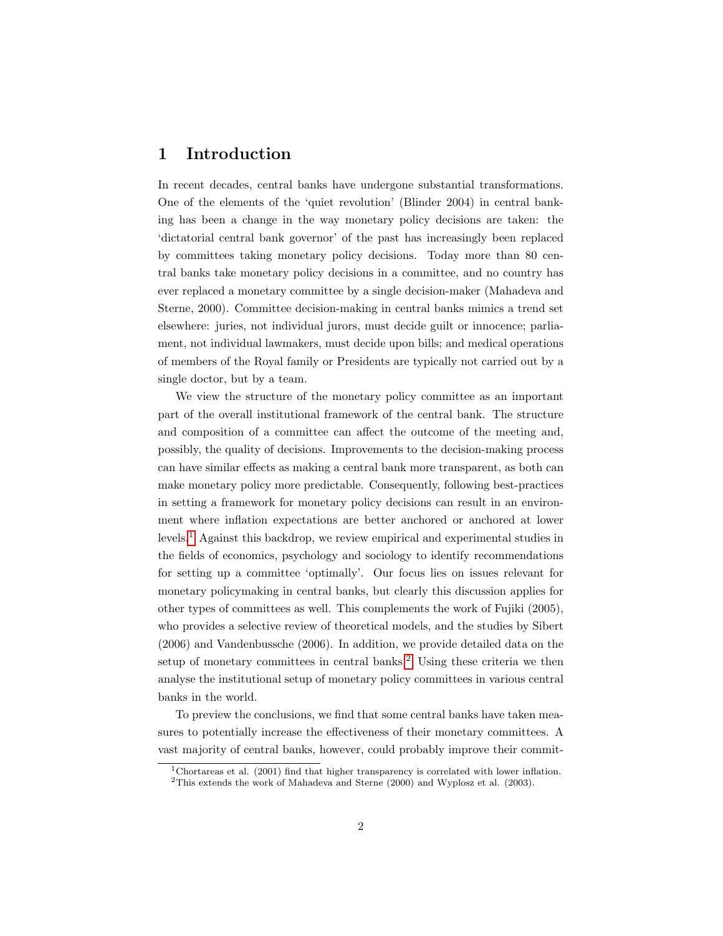# 1 Introduction

In recent decades, central banks have undergone substantial transformations. One of the elements of the 'quiet revolution' (Blinder 2004) in central banking has been a change in the way monetary policy decisions are taken: the 'dictatorial central bank governor' of the past has increasingly been replaced by committees taking monetary policy decisions. Today more than 80 central banks take monetary policy decisions in a committee, and no country has ever replaced a monetary committee by a single decision-maker (Mahadeva and Sterne, 2000). Committee decision-making in central banks mimics a trend set elsewhere: juries, not individual jurors, must decide guilt or innocence; parliament, not individual lawmakers, must decide upon bills; and medical operations of members of the Royal family or Presidents are typically not carried out by a single doctor, but by a team.

We view the structure of the monetary policy committee as an important part of the overall institutional framework of the central bank. The structure and composition of a committee can affect the outcome of the meeting and, possibly, the quality of decisions. Improvements to the decision-making process can have similar effects as making a central bank more transparent, as both can make monetary policy more predictable. Consequently, following best-practices in setting a framework for monetary policy decisions can result in an environment where inflation expectations are better anchored or anchored at lower levels.[1](#page-1-0) Against this backdrop, we review empirical and experimental studies in the fields of economics, psychology and sociology to identify recommendations for setting up a committee 'optimally'. Our focus lies on issues relevant for monetary policymaking in central banks, but clearly this discussion applies for other types of committees as well. This complements the work of Fujiki (2005), who provides a selective review of theoretical models, and the studies by Sibert (2006) and Vandenbussche (2006). In addition, we provide detailed data on the setup of monetary committees in central banks.<sup>[2](#page-1-1)</sup> Using these criteria we then analyse the institutional setup of monetary policy committees in various central banks in the world.

To preview the conclusions, we find that some central banks have taken measures to potentially increase the effectiveness of their monetary committees. A vast majority of central banks, however, could probably improve their commit-

<span id="page-1-0"></span><sup>&</sup>lt;sup>1</sup>Chortareas et al. (2001) find that higher transparency is correlated with lower inflation.

<span id="page-1-1"></span><sup>2</sup>This extends the work of Mahadeva and Sterne (2000) and Wyplosz et al. (2003).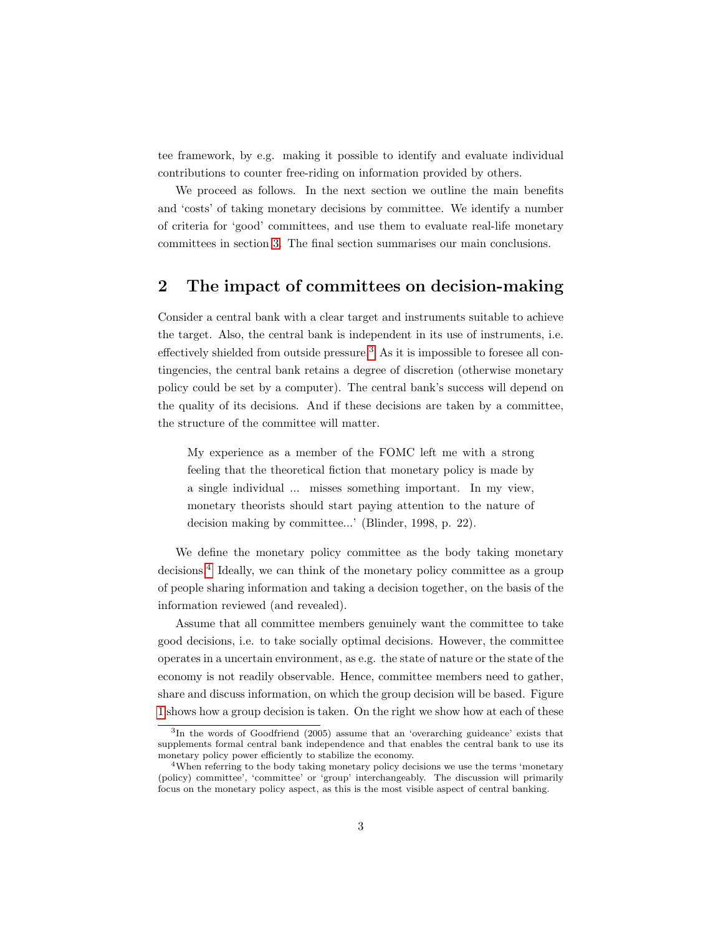tee framework, by e.g. making it possible to identify and evaluate individual contributions to counter free-riding on information provided by others.

We proceed as follows. In the next section we outline the main benefits and 'costs' of taking monetary decisions by committee. We identify a number of criteria for 'good' committees, and use them to evaluate real-life monetary committees in section [3.](#page-14-0) The final section summarises our main conclusions.

# 2 The impact of committees on decision-making

Consider a central bank with a clear target and instruments suitable to achieve the target. Also, the central bank is independent in its use of instruments, i.e. effectively shielded from outside pressure.[3](#page-2-0) As it is impossible to foresee all contingencies, the central bank retains a degree of discretion (otherwise monetary policy could be set by a computer). The central bank's success will depend on the quality of its decisions. And if these decisions are taken by a committee, the structure of the committee will matter.

My experience as a member of the FOMC left me with a strong feeling that the theoretical fiction that monetary policy is made by a single individual ... misses something important. In my view, monetary theorists should start paying attention to the nature of decision making by committee...' (Blinder, 1998, p. 22).

We define the monetary policy committee as the body taking monetary decisions.[4](#page-2-1) Ideally, we can think of the monetary policy committee as a group of people sharing information and taking a decision together, on the basis of the information reviewed (and revealed).

Assume that all committee members genuinely want the committee to take good decisions, i.e. to take socially optimal decisions. However, the committee operates in a uncertain environment, as e.g. the state of nature or the state of the economy is not readily observable. Hence, committee members need to gather, share and discuss information, on which the group decision will be based. Figure [1](#page-3-0) shows how a group decision is taken. On the right we show how at each of these

<span id="page-2-0"></span><sup>3</sup> In the words of Goodfriend (2005) assume that an 'overarching guideance' exists that supplements formal central bank independence and that enables the central bank to use its monetary policy power efficiently to stabilize the economy.

<span id="page-2-1"></span><sup>&</sup>lt;sup>4</sup>When referring to the body taking monetary policy decisions we use the terms 'monetary (policy) committee', 'committee' or 'group' interchangeably. The discussion will primarily focus on the monetary policy aspect, as this is the most visible aspect of central banking.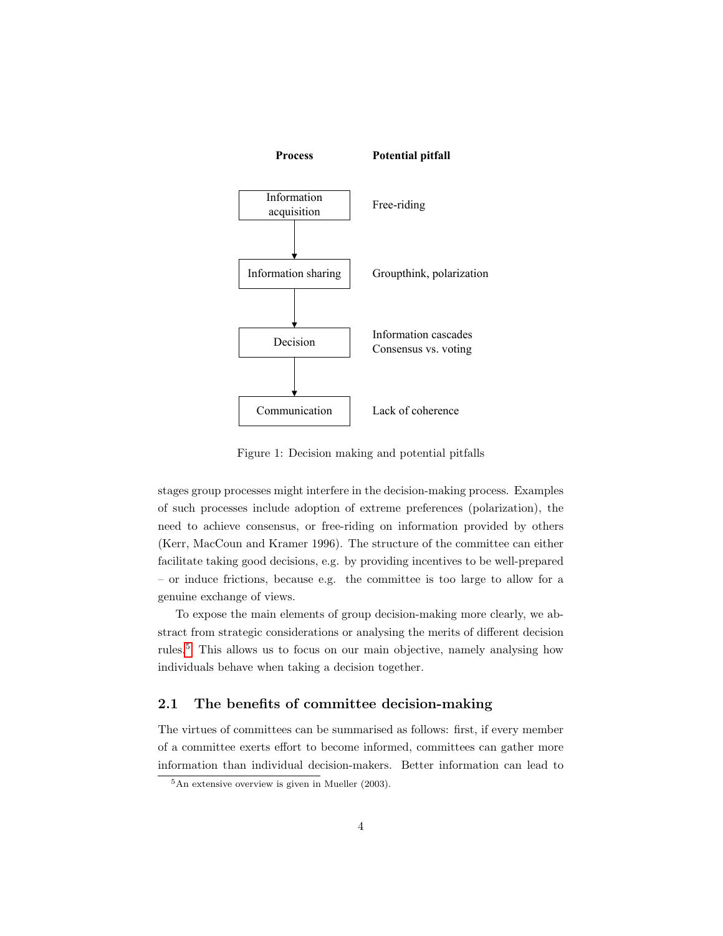

<span id="page-3-0"></span>Figure 1: Decision making and potential pitfalls

stages group processes might interfere in the decision-making process. Examples of such processes include adoption of extreme preferences (polarization), the need to achieve consensus, or free-riding on information provided by others (Kerr, MacCoun and Kramer 1996). The structure of the committee can either facilitate taking good decisions, e.g. by providing incentives to be well-prepared – or induce frictions, because e.g. the committee is too large to allow for a genuine exchange of views.

To expose the main elements of group decision-making more clearly, we abstract from strategic considerations or analysing the merits of different decision rules.[5](#page-3-1) This allows us to focus on our main objective, namely analysing how individuals behave when taking a decision together.

### 2.1 The benefits of committee decision-making

The virtues of committees can be summarised as follows: first, if every member of a committee exerts effort to become informed, committees can gather more information than individual decision-makers. Better information can lead to

<span id="page-3-1"></span> ${}^{5}$ An extensive overview is given in Mueller (2003).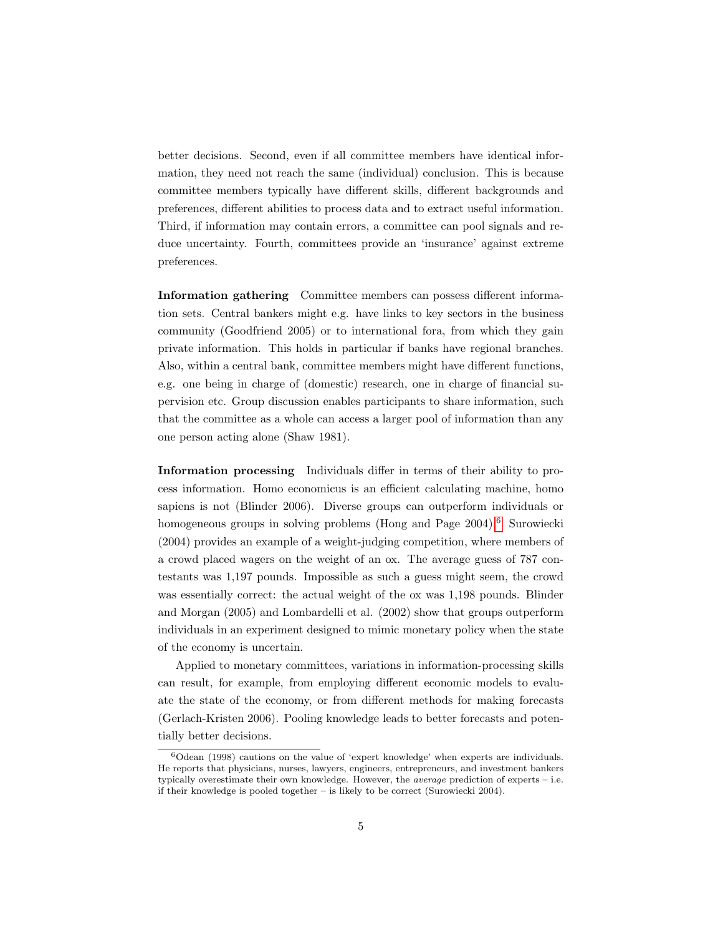better decisions. Second, even if all committee members have identical information, they need not reach the same (individual) conclusion. This is because committee members typically have different skills, different backgrounds and preferences, different abilities to process data and to extract useful information. Third, if information may contain errors, a committee can pool signals and reduce uncertainty. Fourth, committees provide an 'insurance' against extreme preferences.

Information gathering Committee members can possess different information sets. Central bankers might e.g. have links to key sectors in the business community (Goodfriend 2005) or to international fora, from which they gain private information. This holds in particular if banks have regional branches. Also, within a central bank, committee members might have different functions, e.g. one being in charge of (domestic) research, one in charge of financial supervision etc. Group discussion enables participants to share information, such that the committee as a whole can access a larger pool of information than any one person acting alone (Shaw 1981).

Information processing Individuals differ in terms of their ability to process information. Homo economicus is an efficient calculating machine, homo sapiens is not (Blinder 2006). Diverse groups can outperform individuals or homogeneous groups in solving problems (Hong and Page 2004).<sup>[6](#page-4-0)</sup> Surowiecki (2004) provides an example of a weight-judging competition, where members of a crowd placed wagers on the weight of an ox. The average guess of 787 contestants was 1,197 pounds. Impossible as such a guess might seem, the crowd was essentially correct: the actual weight of the ox was 1,198 pounds. Blinder and Morgan (2005) and Lombardelli et al. (2002) show that groups outperform individuals in an experiment designed to mimic monetary policy when the state of the economy is uncertain.

Applied to monetary committees, variations in information-processing skills can result, for example, from employing different economic models to evaluate the state of the economy, or from different methods for making forecasts (Gerlach-Kristen 2006). Pooling knowledge leads to better forecasts and potentially better decisions.

<span id="page-4-0"></span> $6$ Odean (1998) cautions on the value of 'expert knowledge' when experts are individuals. He reports that physicians, nurses, lawyers, engineers, entrepreneurs, and investment bankers typically overestimate their own knowledge. However, the *average* prediction of experts – i.e. if their knowledge is pooled together – is likely to be correct (Surowiecki 2004).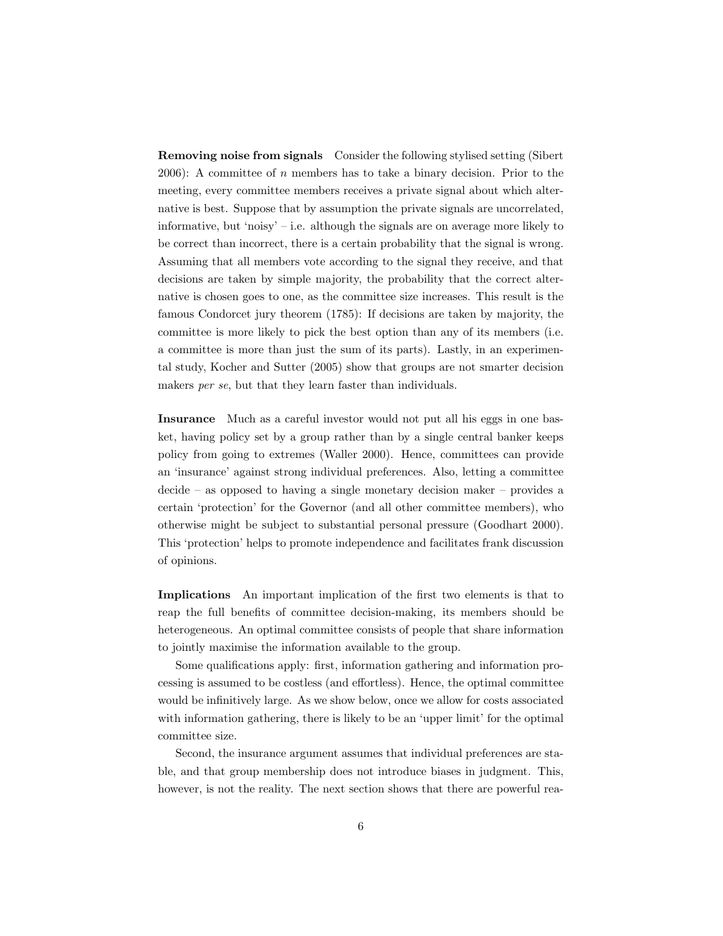Removing noise from signals Consider the following stylised setting (Sibert  $2006$ : A committee of *n* members has to take a binary decision. Prior to the meeting, every committee members receives a private signal about which alternative is best. Suppose that by assumption the private signals are uncorrelated, informative, but 'noisy' – i.e. although the signals are on average more likely to be correct than incorrect, there is a certain probability that the signal is wrong. Assuming that all members vote according to the signal they receive, and that decisions are taken by simple majority, the probability that the correct alternative is chosen goes to one, as the committee size increases. This result is the famous Condorcet jury theorem (1785): If decisions are taken by majority, the committee is more likely to pick the best option than any of its members (i.e. a committee is more than just the sum of its parts). Lastly, in an experimental study, Kocher and Sutter (2005) show that groups are not smarter decision makers *per se*, but that they learn faster than individuals.

Insurance Much as a careful investor would not put all his eggs in one basket, having policy set by a group rather than by a single central banker keeps policy from going to extremes (Waller 2000). Hence, committees can provide an 'insurance' against strong individual preferences. Also, letting a committee decide – as opposed to having a single monetary decision maker – provides a certain 'protection' for the Governor (and all other committee members), who otherwise might be subject to substantial personal pressure (Goodhart 2000). This 'protection' helps to promote independence and facilitates frank discussion of opinions.

Implications An important implication of the first two elements is that to reap the full benefits of committee decision-making, its members should be heterogeneous. An optimal committee consists of people that share information to jointly maximise the information available to the group.

Some qualifications apply: first, information gathering and information processing is assumed to be costless (and effortless). Hence, the optimal committee would be infinitively large. As we show below, once we allow for costs associated with information gathering, there is likely to be an 'upper limit' for the optimal committee size.

Second, the insurance argument assumes that individual preferences are stable, and that group membership does not introduce biases in judgment. This, however, is not the reality. The next section shows that there are powerful rea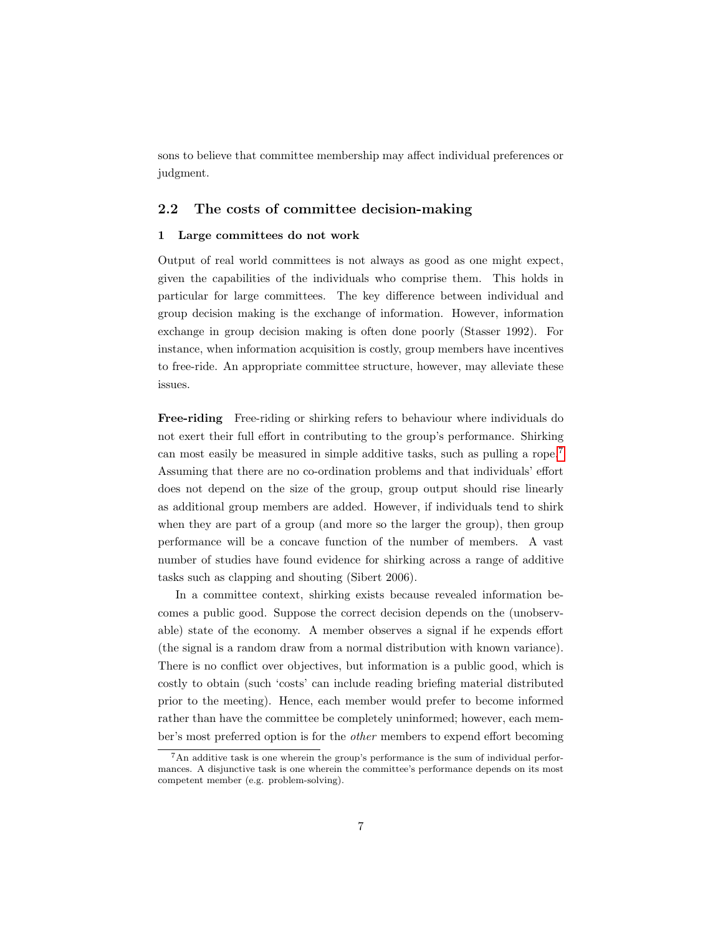sons to believe that committee membership may affect individual preferences or judgment.

#### 2.2 The costs of committee decision-making

#### 1 Large committees do not work

Output of real world committees is not always as good as one might expect, given the capabilities of the individuals who comprise them. This holds in particular for large committees. The key difference between individual and group decision making is the exchange of information. However, information exchange in group decision making is often done poorly (Stasser 1992). For instance, when information acquisition is costly, group members have incentives to free-ride. An appropriate committee structure, however, may alleviate these issues.

Free-riding Free-riding or shirking refers to behaviour where individuals do not exert their full effort in contributing to the group's performance. Shirking can most easily be measured in simple additive tasks, such as pulling a rope.[7](#page-6-0) Assuming that there are no co-ordination problems and that individuals' effort does not depend on the size of the group, group output should rise linearly as additional group members are added. However, if individuals tend to shirk when they are part of a group (and more so the larger the group), then group performance will be a concave function of the number of members. A vast number of studies have found evidence for shirking across a range of additive tasks such as clapping and shouting (Sibert 2006).

In a committee context, shirking exists because revealed information becomes a public good. Suppose the correct decision depends on the (unobservable) state of the economy. A member observes a signal if he expends effort (the signal is a random draw from a normal distribution with known variance). There is no conflict over objectives, but information is a public good, which is costly to obtain (such 'costs' can include reading briefing material distributed prior to the meeting). Hence, each member would prefer to become informed rather than have the committee be completely uninformed; however, each member's most preferred option is for the other members to expend effort becoming

<span id="page-6-0"></span><sup>7</sup>An additive task is one wherein the group's performance is the sum of individual performances. A disjunctive task is one wherein the committee's performance depends on its most competent member (e.g. problem-solving).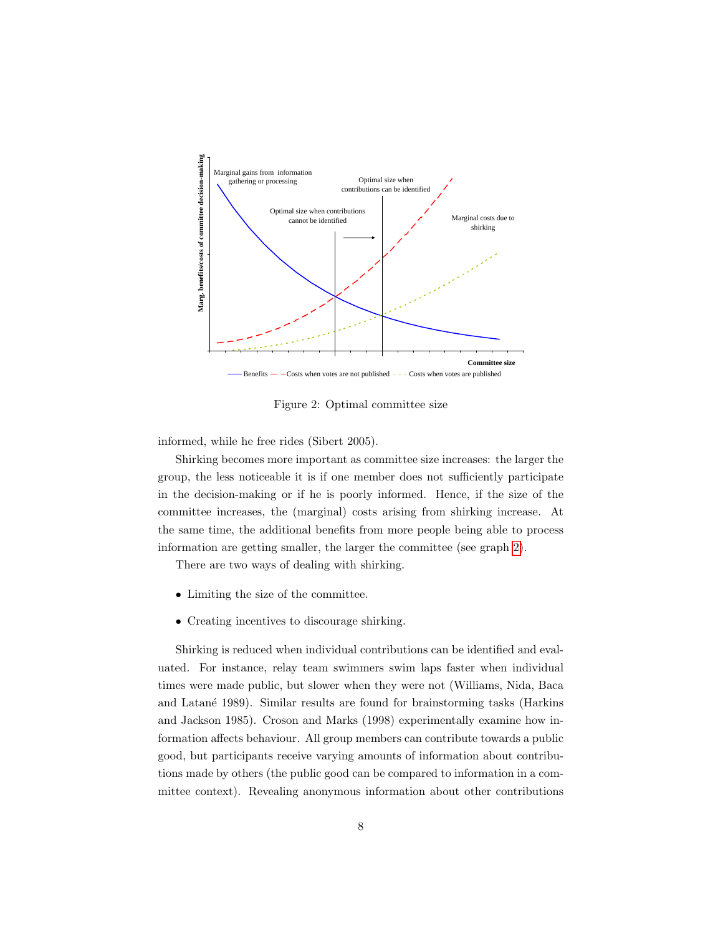

<span id="page-7-0"></span>Figure 2: Optimal committee size

informed, while he free rides (Sibert 2005).

Shirking becomes more important as committee size increases: the larger the group, the less noticeable it is if one member does not sufficiently participate in the decision-making or if he is poorly informed. Hence, if the size of the committee increases, the (marginal) costs arising from shirking increase. At the same time, the additional benefits from more people being able to process information are getting smaller, the larger the committee (see graph [2\)](#page-7-0).

There are two ways of dealing with shirking.

- Limiting the size of the committee.
- Creating incentives to discourage shirking.

Shirking is reduced when individual contributions can be identified and evaluated. For instance, relay team swimmers swim laps faster when individual times were made public, but slower when they were not (Williams, Nida, Baca and Latan´e 1989). Similar results are found for brainstorming tasks (Harkins and Jackson 1985). Croson and Marks (1998) experimentally examine how information affects behaviour. All group members can contribute towards a public good, but participants receive varying amounts of information about contributions made by others (the public good can be compared to information in a committee context). Revealing anonymous information about other contributions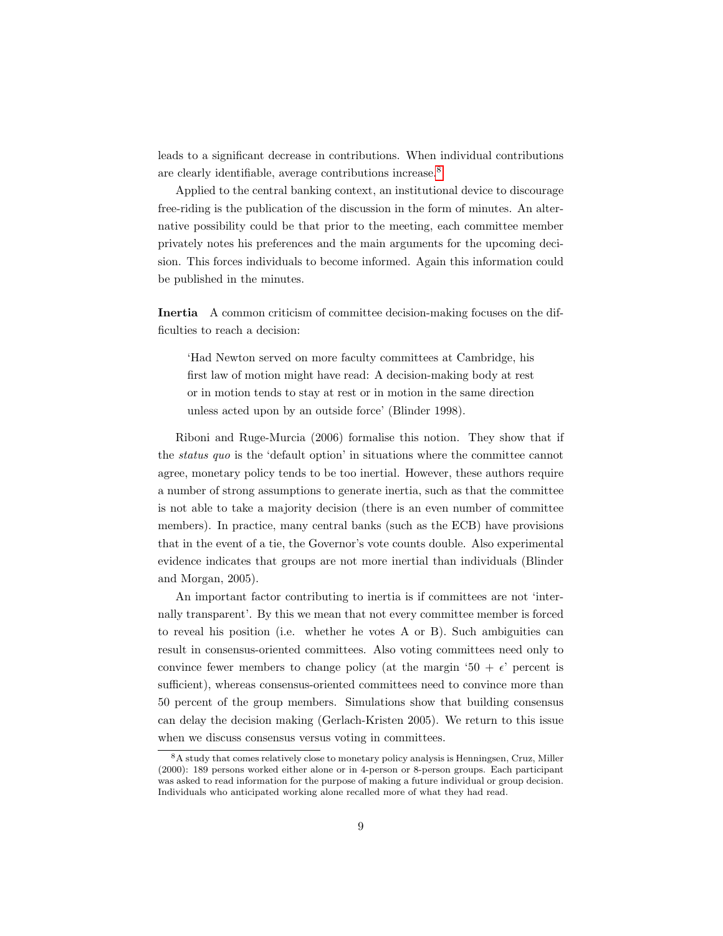leads to a significant decrease in contributions. When individual contributions are clearly identifiable, average contributions increase.[8](#page-8-0)

Applied to the central banking context, an institutional device to discourage free-riding is the publication of the discussion in the form of minutes. An alternative possibility could be that prior to the meeting, each committee member privately notes his preferences and the main arguments for the upcoming decision. This forces individuals to become informed. Again this information could be published in the minutes.

Inertia A common criticism of committee decision-making focuses on the difficulties to reach a decision:

'Had Newton served on more faculty committees at Cambridge, his first law of motion might have read: A decision-making body at rest or in motion tends to stay at rest or in motion in the same direction unless acted upon by an outside force' (Blinder 1998).

Riboni and Ruge-Murcia (2006) formalise this notion. They show that if the status quo is the 'default option' in situations where the committee cannot agree, monetary policy tends to be too inertial. However, these authors require a number of strong assumptions to generate inertia, such as that the committee is not able to take a majority decision (there is an even number of committee members). In practice, many central banks (such as the ECB) have provisions that in the event of a tie, the Governor's vote counts double. Also experimental evidence indicates that groups are not more inertial than individuals (Blinder and Morgan, 2005).

An important factor contributing to inertia is if committees are not 'internally transparent'. By this we mean that not every committee member is forced to reveal his position (i.e. whether he votes A or B). Such ambiguities can result in consensus-oriented committees. Also voting committees need only to convince fewer members to change policy (at the margin '50 +  $\epsilon$ ' percent is sufficient), whereas consensus-oriented committees need to convince more than 50 percent of the group members. Simulations show that building consensus can delay the decision making (Gerlach-Kristen 2005). We return to this issue when we discuss consensus versus voting in committees.

<span id="page-8-0"></span><sup>8</sup>A study that comes relatively close to monetary policy analysis is Henningsen, Cruz, Miller (2000): 189 persons worked either alone or in 4-person or 8-person groups. Each participant was asked to read information for the purpose of making a future individual or group decision. Individuals who anticipated working alone recalled more of what they had read.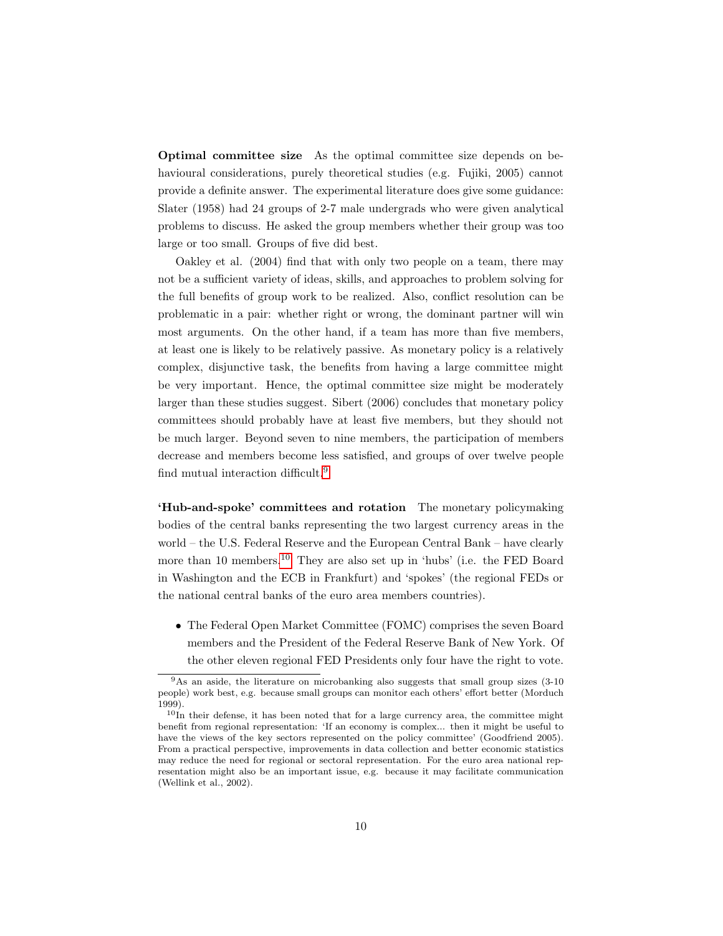Optimal committee size As the optimal committee size depends on behavioural considerations, purely theoretical studies (e.g. Fujiki, 2005) cannot provide a definite answer. The experimental literature does give some guidance: Slater (1958) had 24 groups of 2-7 male undergrads who were given analytical problems to discuss. He asked the group members whether their group was too large or too small. Groups of five did best.

Oakley et al. (2004) find that with only two people on a team, there may not be a sufficient variety of ideas, skills, and approaches to problem solving for the full benefits of group work to be realized. Also, conflict resolution can be problematic in a pair: whether right or wrong, the dominant partner will win most arguments. On the other hand, if a team has more than five members, at least one is likely to be relatively passive. As monetary policy is a relatively complex, disjunctive task, the benefits from having a large committee might be very important. Hence, the optimal committee size might be moderately larger than these studies suggest. Sibert (2006) concludes that monetary policy committees should probably have at least five members, but they should not be much larger. Beyond seven to nine members, the participation of members decrease and members become less satisfied, and groups of over twelve people find mutual interaction difficult.[9](#page-9-0)

'Hub-and-spoke' committees and rotation The monetary policymaking bodies of the central banks representing the two largest currency areas in the world – the U.S. Federal Reserve and the European Central Bank – have clearly more than [10](#page-9-1) members.<sup>10</sup> They are also set up in 'hubs' (i.e. the FED Board in Washington and the ECB in Frankfurt) and 'spokes' (the regional FEDs or the national central banks of the euro area members countries).

• The Federal Open Market Committee (FOMC) comprises the seven Board members and the President of the Federal Reserve Bank of New York. Of the other eleven regional FED Presidents only four have the right to vote.

<span id="page-9-0"></span><sup>&</sup>lt;sup>9</sup>As an aside, the literature on microbanking also suggests that small group sizes (3-10 people) work best, e.g. because small groups can monitor each others' effort better (Morduch 1999).

<span id="page-9-1"></span> $10$ In their defense, it has been noted that for a large currency area, the committee might benefit from regional representation: 'If an economy is complex... then it might be useful to have the views of the key sectors represented on the policy committee' (Goodfriend 2005). From a practical perspective, improvements in data collection and better economic statistics may reduce the need for regional or sectoral representation. For the euro area national representation might also be an important issue, e.g. because it may facilitate communication (Wellink et al., 2002).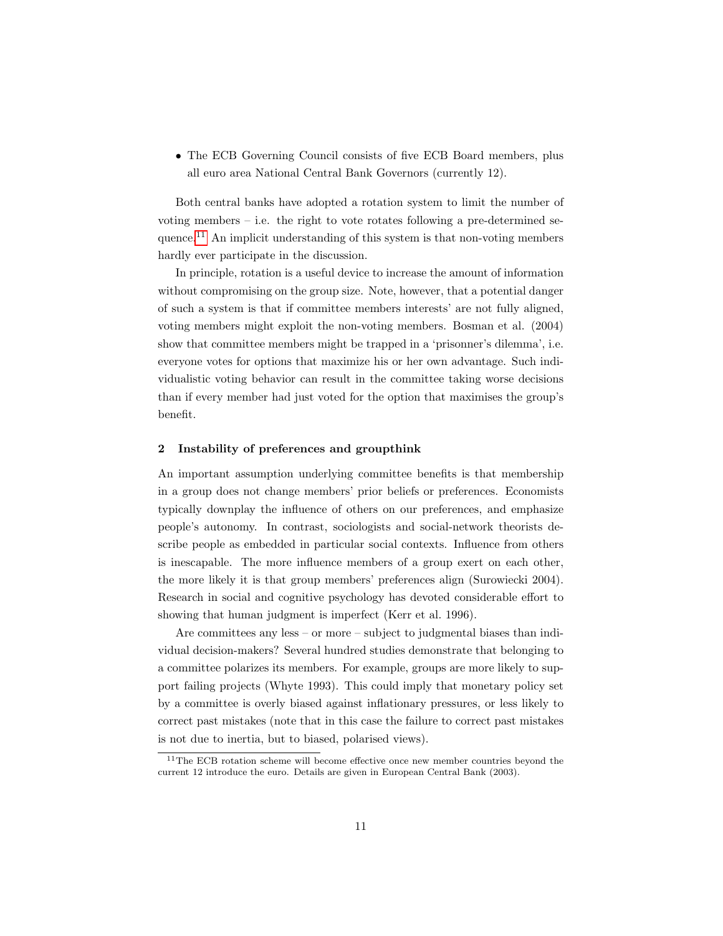• The ECB Governing Council consists of five ECB Board members, plus all euro area National Central Bank Governors (currently 12).

Both central banks have adopted a rotation system to limit the number of voting members – i.e. the right to vote rotates following a pre-determined sequence.[11](#page-10-0) An implicit understanding of this system is that non-voting members hardly ever participate in the discussion.

In principle, rotation is a useful device to increase the amount of information without compromising on the group size. Note, however, that a potential danger of such a system is that if committee members interests' are not fully aligned, voting members might exploit the non-voting members. Bosman et al. (2004) show that committee members might be trapped in a 'prisonner's dilemma', i.e. everyone votes for options that maximize his or her own advantage. Such individualistic voting behavior can result in the committee taking worse decisions than if every member had just voted for the option that maximises the group's benefit.

#### 2 Instability of preferences and groupthink

An important assumption underlying committee benefits is that membership in a group does not change members' prior beliefs or preferences. Economists typically downplay the influence of others on our preferences, and emphasize people's autonomy. In contrast, sociologists and social-network theorists describe people as embedded in particular social contexts. Influence from others is inescapable. The more influence members of a group exert on each other, the more likely it is that group members' preferences align (Surowiecki 2004). Research in social and cognitive psychology has devoted considerable effort to showing that human judgment is imperfect (Kerr et al. 1996).

Are committees any less – or more – subject to judgmental biases than individual decision-makers? Several hundred studies demonstrate that belonging to a committee polarizes its members. For example, groups are more likely to support failing projects (Whyte 1993). This could imply that monetary policy set by a committee is overly biased against inflationary pressures, or less likely to correct past mistakes (note that in this case the failure to correct past mistakes is not due to inertia, but to biased, polarised views).

<span id="page-10-0"></span><sup>&</sup>lt;sup>11</sup>The ECB rotation scheme will become effective once new member countries beyond the current 12 introduce the euro. Details are given in European Central Bank (2003).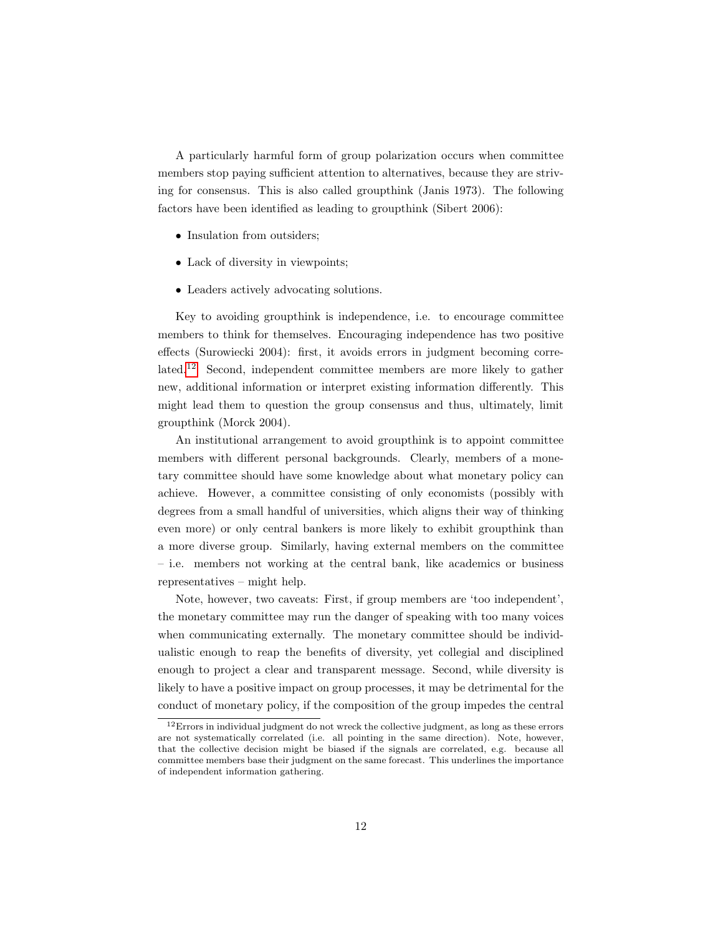A particularly harmful form of group polarization occurs when committee members stop paying sufficient attention to alternatives, because they are striving for consensus. This is also called groupthink (Janis 1973). The following factors have been identified as leading to groupthink (Sibert 2006):

- Insulation from outsiders;
- Lack of diversity in viewpoints;
- Leaders actively advocating solutions.

Key to avoiding groupthink is independence, i.e. to encourage committee members to think for themselves. Encouraging independence has two positive effects (Surowiecki 2004): first, it avoids errors in judgment becoming correlated.[12](#page-11-0) Second, independent committee members are more likely to gather new, additional information or interpret existing information differently. This might lead them to question the group consensus and thus, ultimately, limit groupthink (Morck 2004).

An institutional arrangement to avoid groupthink is to appoint committee members with different personal backgrounds. Clearly, members of a monetary committee should have some knowledge about what monetary policy can achieve. However, a committee consisting of only economists (possibly with degrees from a small handful of universities, which aligns their way of thinking even more) or only central bankers is more likely to exhibit groupthink than a more diverse group. Similarly, having external members on the committee – i.e. members not working at the central bank, like academics or business representatives – might help.

Note, however, two caveats: First, if group members are 'too independent', the monetary committee may run the danger of speaking with too many voices when communicating externally. The monetary committee should be individualistic enough to reap the benefits of diversity, yet collegial and disciplined enough to project a clear and transparent message. Second, while diversity is likely to have a positive impact on group processes, it may be detrimental for the conduct of monetary policy, if the composition of the group impedes the central

<span id="page-11-0"></span> $12$  Errors in individual judgment do not wreck the collective judgment, as long as these errors are not systematically correlated (i.e. all pointing in the same direction). Note, however, that the collective decision might be biased if the signals are correlated, e.g. because all committee members base their judgment on the same forecast. This underlines the importance of independent information gathering.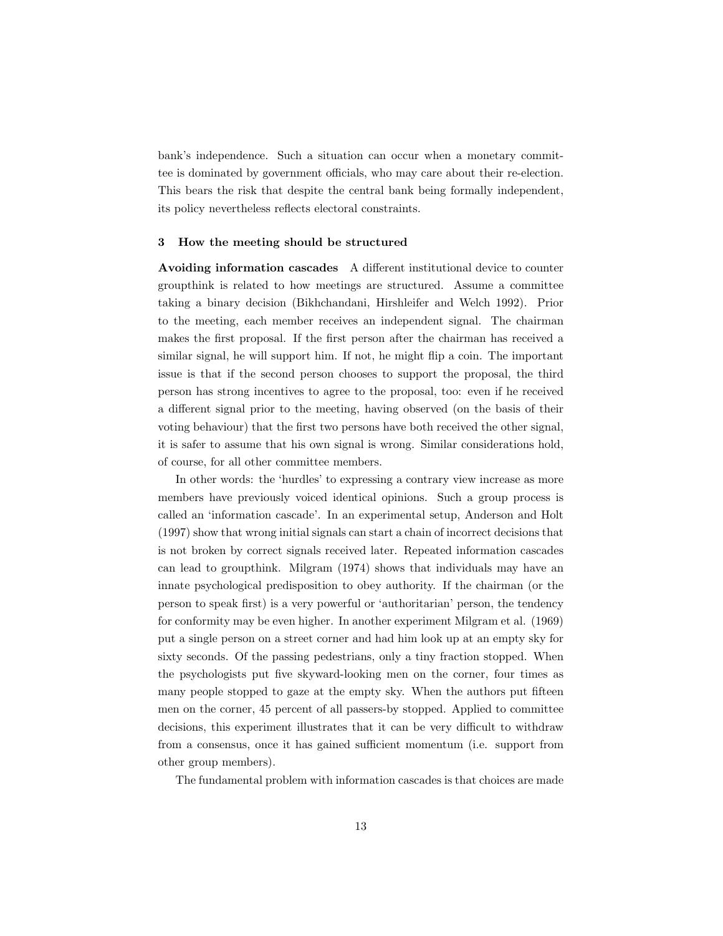bank's independence. Such a situation can occur when a monetary committee is dominated by government officials, who may care about their re-election. This bears the risk that despite the central bank being formally independent, its policy nevertheless reflects electoral constraints.

#### 3 How the meeting should be structured

Avoiding information cascades A different institutional device to counter groupthink is related to how meetings are structured. Assume a committee taking a binary decision (Bikhchandani, Hirshleifer and Welch 1992). Prior to the meeting, each member receives an independent signal. The chairman makes the first proposal. If the first person after the chairman has received a similar signal, he will support him. If not, he might flip a coin. The important issue is that if the second person chooses to support the proposal, the third person has strong incentives to agree to the proposal, too: even if he received a different signal prior to the meeting, having observed (on the basis of their voting behaviour) that the first two persons have both received the other signal, it is safer to assume that his own signal is wrong. Similar considerations hold, of course, for all other committee members.

In other words: the 'hurdles' to expressing a contrary view increase as more members have previously voiced identical opinions. Such a group process is called an 'information cascade'. In an experimental setup, Anderson and Holt (1997) show that wrong initial signals can start a chain of incorrect decisions that is not broken by correct signals received later. Repeated information cascades can lead to groupthink. Milgram (1974) shows that individuals may have an innate psychological predisposition to obey authority. If the chairman (or the person to speak first) is a very powerful or 'authoritarian' person, the tendency for conformity may be even higher. In another experiment Milgram et al. (1969) put a single person on a street corner and had him look up at an empty sky for sixty seconds. Of the passing pedestrians, only a tiny fraction stopped. When the psychologists put five skyward-looking men on the corner, four times as many people stopped to gaze at the empty sky. When the authors put fifteen men on the corner, 45 percent of all passers-by stopped. Applied to committee decisions, this experiment illustrates that it can be very difficult to withdraw from a consensus, once it has gained sufficient momentum (i.e. support from other group members).

The fundamental problem with information cascades is that choices are made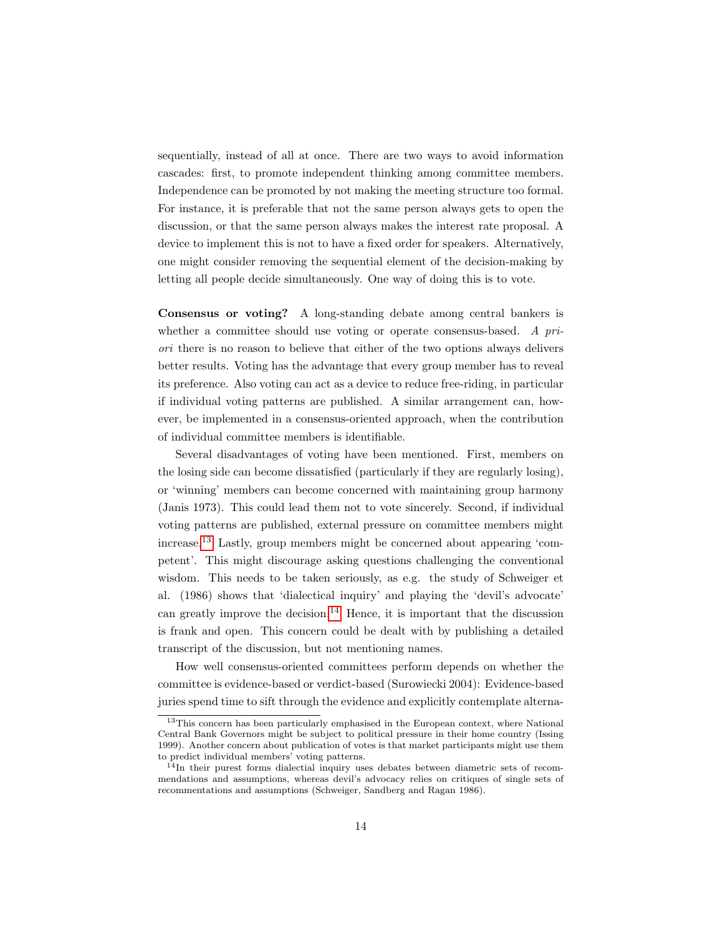sequentially, instead of all at once. There are two ways to avoid information cascades: first, to promote independent thinking among committee members. Independence can be promoted by not making the meeting structure too formal. For instance, it is preferable that not the same person always gets to open the discussion, or that the same person always makes the interest rate proposal. A device to implement this is not to have a fixed order for speakers. Alternatively, one might consider removing the sequential element of the decision-making by letting all people decide simultaneously. One way of doing this is to vote.

Consensus or voting? A long-standing debate among central bankers is whether a committee should use voting or operate consensus-based. A priori there is no reason to believe that either of the two options always delivers better results. Voting has the advantage that every group member has to reveal its preference. Also voting can act as a device to reduce free-riding, in particular if individual voting patterns are published. A similar arrangement can, however, be implemented in a consensus-oriented approach, when the contribution of individual committee members is identifiable.

Several disadvantages of voting have been mentioned. First, members on the losing side can become dissatisfied (particularly if they are regularly losing), or 'winning' members can become concerned with maintaining group harmony (Janis 1973). This could lead them not to vote sincerely. Second, if individual voting patterns are published, external pressure on committee members might increase.[13](#page-13-0) Lastly, group members might be concerned about appearing 'competent'. This might discourage asking questions challenging the conventional wisdom. This needs to be taken seriously, as e.g. the study of Schweiger et al. (1986) shows that 'dialectical inquiry' and playing the 'devil's advocate' can greatly improve the decision.<sup>[14](#page-13-1)</sup> Hence, it is important that the discussion is frank and open. This concern could be dealt with by publishing a detailed transcript of the discussion, but not mentioning names.

How well consensus-oriented committees perform depends on whether the committee is evidence-based or verdict-based (Surowiecki 2004): Evidence-based juries spend time to sift through the evidence and explicitly contemplate alterna-

<span id="page-13-0"></span><sup>&</sup>lt;sup>13</sup>This concern has been particularly emphasised in the European context, where National Central Bank Governors might be subject to political pressure in their home country (Issing 1999). Another concern about publication of votes is that market participants might use them to predict individual members' voting patterns.

<span id="page-13-1"></span> $14$ In their purest forms dialectial inquiry uses debates between diametric sets of recommendations and assumptions, whereas devil's advocacy relies on critiques of single sets of recommentations and assumptions (Schweiger, Sandberg and Ragan 1986).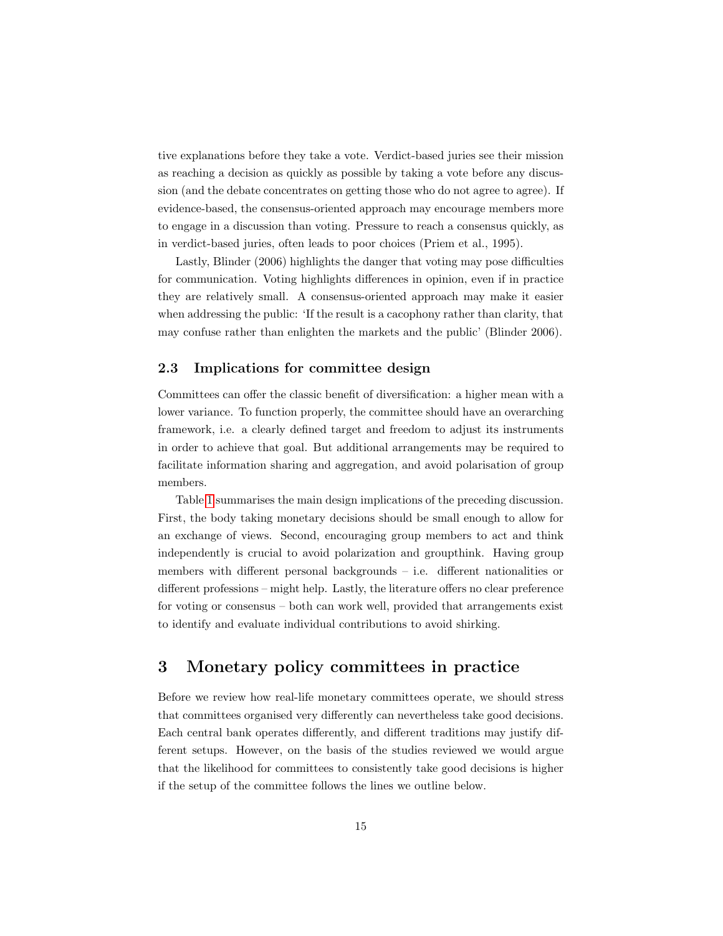tive explanations before they take a vote. Verdict-based juries see their mission as reaching a decision as quickly as possible by taking a vote before any discussion (and the debate concentrates on getting those who do not agree to agree). If evidence-based, the consensus-oriented approach may encourage members more to engage in a discussion than voting. Pressure to reach a consensus quickly, as in verdict-based juries, often leads to poor choices (Priem et al., 1995).

Lastly, Blinder (2006) highlights the danger that voting may pose difficulties for communication. Voting highlights differences in opinion, even if in practice they are relatively small. A consensus-oriented approach may make it easier when addressing the public: 'If the result is a cacophony rather than clarity, that may confuse rather than enlighten the markets and the public' (Blinder 2006).

#### 2.3 Implications for committee design

Committees can offer the classic benefit of diversification: a higher mean with a lower variance. To function properly, the committee should have an overarching framework, i.e. a clearly defined target and freedom to adjust its instruments in order to achieve that goal. But additional arrangements may be required to facilitate information sharing and aggregation, and avoid polarisation of group members.

Table [1](#page-15-0) summarises the main design implications of the preceding discussion. First, the body taking monetary decisions should be small enough to allow for an exchange of views. Second, encouraging group members to act and think independently is crucial to avoid polarization and groupthink. Having group members with different personal backgrounds – i.e. different nationalities or different professions – might help. Lastly, the literature offers no clear preference for voting or consensus – both can work well, provided that arrangements exist to identify and evaluate individual contributions to avoid shirking.

# <span id="page-14-0"></span>3 Monetary policy committees in practice

Before we review how real-life monetary committees operate, we should stress that committees organised very differently can nevertheless take good decisions. Each central bank operates differently, and different traditions may justify different setups. However, on the basis of the studies reviewed we would argue that the likelihood for committees to consistently take good decisions is higher if the setup of the committee follows the lines we outline below.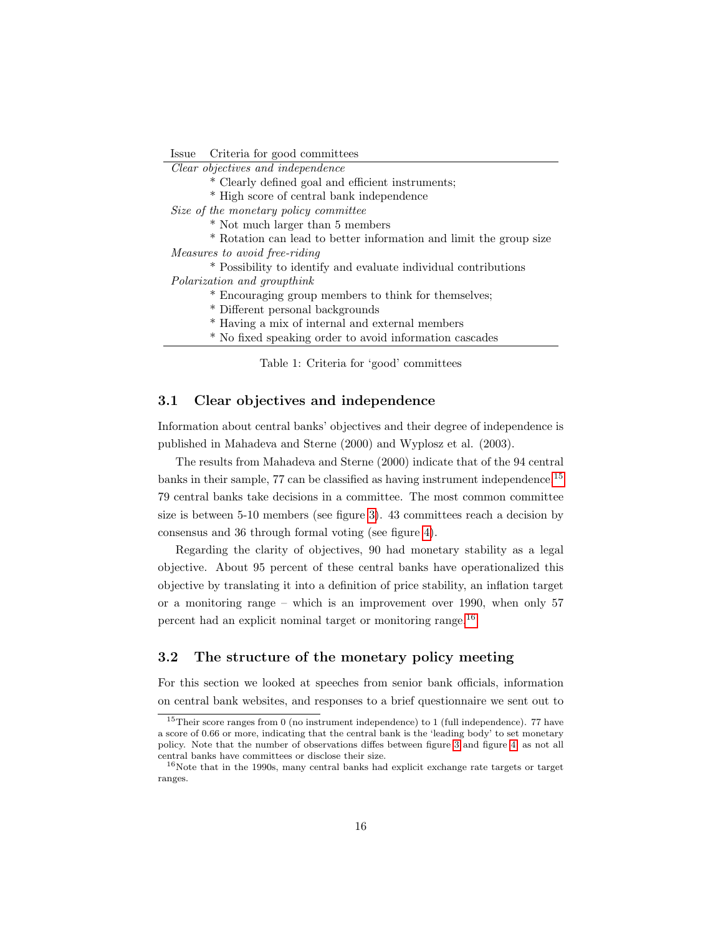Issue Criteria for good committees

Clear objectives and independence

- \* Clearly defined goal and efficient instruments;
- \* High score of central bank independence

Size of the monetary policy committee

- \* Not much larger than 5 members
- \* Rotation can lead to better information and limit the group size

Measures to avoid free-riding

\* Possibility to identify and evaluate individual contributions Polarization and groupthink

- \* Encouraging group members to think for themselves;
- \* Different personal backgrounds
- \* Having a mix of internal and external members
- \* No fixed speaking order to avoid information cascades

<span id="page-15-0"></span>Table 1: Criteria for 'good' committees

#### 3.1 Clear objectives and independence

Information about central banks' objectives and their degree of independence is published in Mahadeva and Sterne (2000) and Wyplosz et al. (2003).

The results from Mahadeva and Sterne (2000) indicate that of the 94 central banks in their sample, 77 can be classified as having instrument independence.[15](#page-15-1) 79 central banks take decisions in a committee. The most common committee size is between 5-10 members (see figure [3\)](#page-16-0). 43 committees reach a decision by consensus and 36 through formal voting (see figure [4\)](#page-16-1).

Regarding the clarity of objectives, 90 had monetary stability as a legal objective. About 95 percent of these central banks have operationalized this objective by translating it into a definition of price stability, an inflation target or a monitoring range – which is an improvement over 1990, when only 57 percent had an explicit nominal target or monitoring range.[16](#page-15-2)

## 3.2 The structure of the monetary policy meeting

For this section we looked at speeches from senior bank officials, information on central bank websites, and responses to a brief questionnaire we sent out to

<span id="page-15-1"></span> $15$ Their score ranges from 0 (no instrument independence) to 1 (full independence). 77 have a score of 0.66 or more, indicating that the central bank is the 'leading body' to set monetary policy. Note that the number of observations diffes between figure [3](#page-16-0) and figure [4,](#page-16-1) as not all central banks have committees or disclose their size.

<span id="page-15-2"></span> $16$ Note that in the 1990s, many central banks had explicit exchange rate targets or target ranges.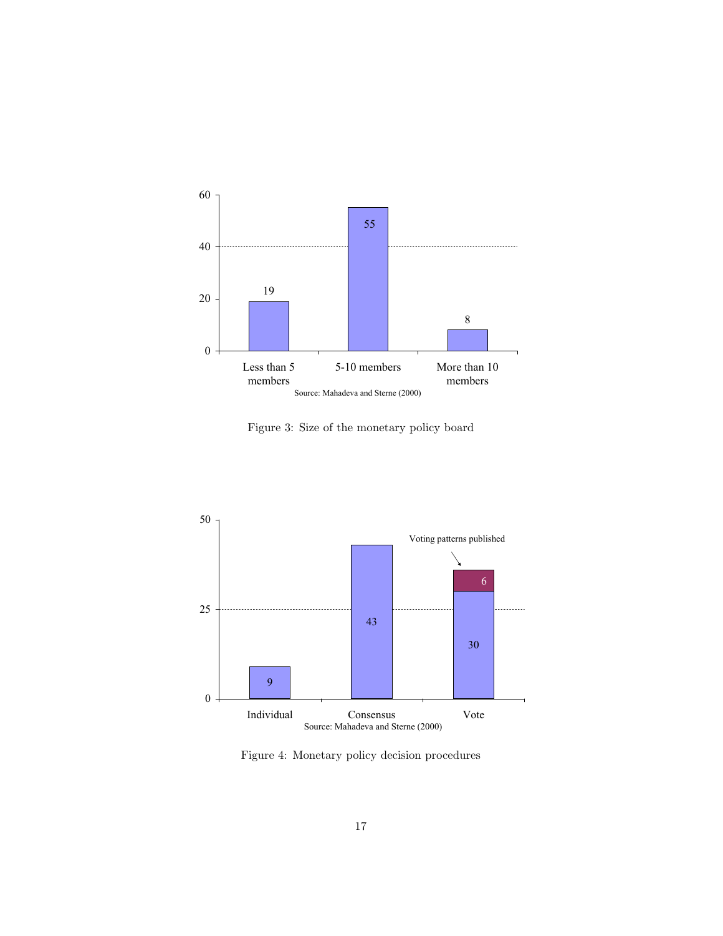

<span id="page-16-0"></span>Figure 3: Size of the monetary policy board



<span id="page-16-1"></span>Figure 4: Monetary policy decision procedures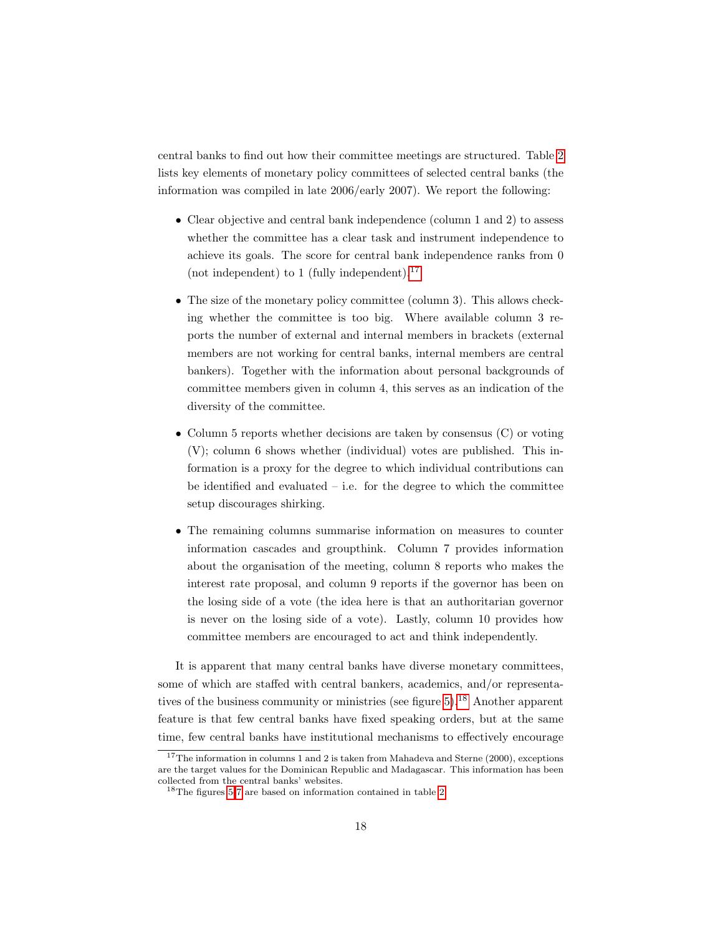central banks to find out how their committee meetings are structured. Table [2](#page-18-0) lists key elements of monetary policy committees of selected central banks (the information was compiled in late 2006/early 2007). We report the following:

- Clear objective and central bank independence (column 1 and 2) to assess whether the committee has a clear task and instrument independence to achieve its goals. The score for central bank independence ranks from 0 (not independent) to 1 (fully independent). $^{17}$  $^{17}$  $^{17}$
- The size of the monetary policy committee (column 3). This allows checking whether the committee is too big. Where available column 3 reports the number of external and internal members in brackets (external members are not working for central banks, internal members are central bankers). Together with the information about personal backgrounds of committee members given in column 4, this serves as an indication of the diversity of the committee.
- Column 5 reports whether decisions are taken by consensus (C) or voting (V); column 6 shows whether (individual) votes are published. This information is a proxy for the degree to which individual contributions can be identified and evaluated  $-$  i.e. for the degree to which the committee setup discourages shirking.
- The remaining columns summarise information on measures to counter information cascades and groupthink. Column 7 provides information about the organisation of the meeting, column 8 reports who makes the interest rate proposal, and column 9 reports if the governor has been on the losing side of a vote (the idea here is that an authoritarian governor is never on the losing side of a vote). Lastly, column 10 provides how committee members are encouraged to act and think independently.

It is apparent that many central banks have diverse monetary committees, some of which are staffed with central bankers, academics, and/or representatives of the business community or ministries (see figure  $5$ ).<sup>[18](#page-17-1)</sup> Another apparent feature is that few central banks have fixed speaking orders, but at the same time, few central banks have institutional mechanisms to effectively encourage

<span id="page-17-0"></span> $17$ The information in columns 1 and 2 is taken from Mahadeva and Sterne (2000), exceptions are the target values for the Dominican Republic and Madagascar. This information has been collected from the central banks' websites.

<span id="page-17-1"></span> $^{18}{\rm The}$  figures [5-](#page-24-0)[7](#page-25-0) are based on information contained in table [2.](#page-18-0)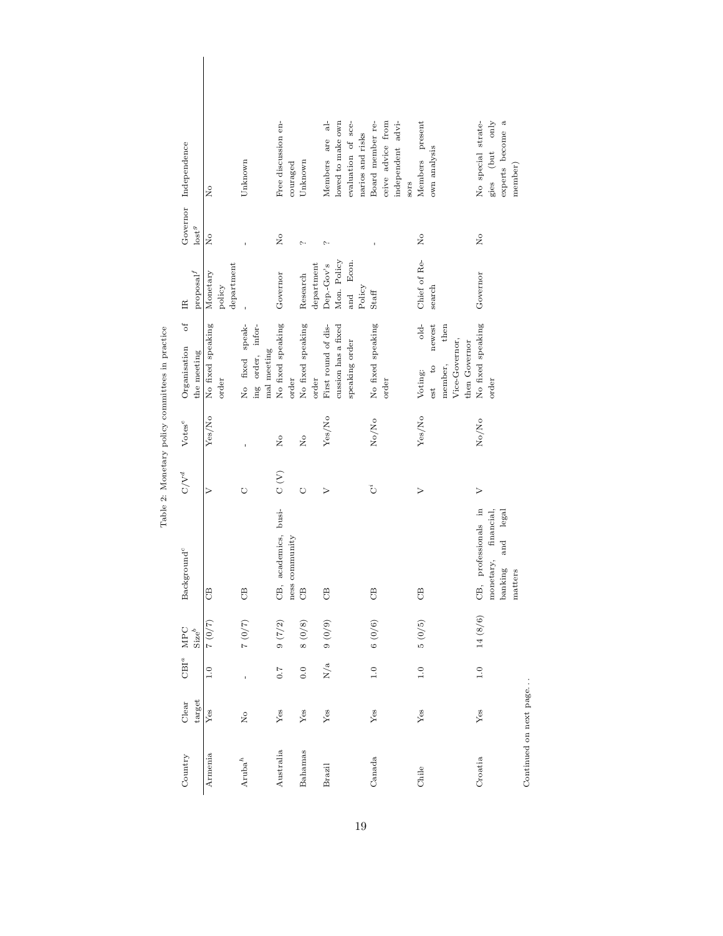| Governor Independence                                                                 |                                          | Unknown                                             | Free discussion en-<br>couraged        | Unknown                                         | ಕ<br>lowed to make own<br>Members are      | evaluation of sce-<br>narios and risks | ceive advice from<br>Board member re-<br>independent advi- | Members present<br>own analysis                                 | gies (but only<br>experts become a<br>No special strate-<br>member)                |                        |
|---------------------------------------------------------------------------------------|------------------------------------------|-----------------------------------------------------|----------------------------------------|-------------------------------------------------|--------------------------------------------|----------------------------------------|------------------------------------------------------------|-----------------------------------------------------------------|------------------------------------------------------------------------------------|------------------------|
|                                                                                       | $\overline{R}$                           |                                                     |                                        |                                                 |                                            |                                        | sors                                                       |                                                                 |                                                                                    |                        |
| lost <sup>g</sup>                                                                     | $\overline{R}$                           |                                                     | $\overline{N}$                         | $\sim$                                          | $\sim$                                     |                                        |                                                            | $\frac{1}{2}$                                                   | $\overline{N}$                                                                     |                        |
| $\ensuremath{\mathsf{prop}}\xspace\ensuremath{\mathsf{sal}}\xspace^f$<br>$\mathbb{E}$ | ${\tt department}$<br>Monetary<br>policy |                                                     | Governor                               | $\label{eq:opt1} \text{department}$<br>Research | Mon. Policy<br>Dep.-Gov's                  | Econ.<br>Policy<br>and                 | $\mathbf{Staff}$                                           | Chief of Re-<br>search                                          | Governor                                                                           |                        |
| $\mathcal{L}$                                                                         |                                          |                                                     |                                        |                                                 |                                            |                                        |                                                            | $d\bar{d}$<br>newest<br>then                                    |                                                                                    |                        |
| Organisation<br>the meeting                                                           | No fixed speaking<br>order               | No fixed speak-<br>ing order, infor-<br>mal meeting | No fixed speaking<br>order             | No fixed speaking<br>order                      | First round of dis-<br>cussion has a fixed | speaking order                         | No fixed speaking<br>order                                 | Vice-Governor,<br>then Governor<br>member,<br>est to<br>Voting: | No fixed speaking<br>order                                                         |                        |
| $\ensuremath{\text{Votes}}^e$                                                         | Yes/No                                   |                                                     | $\mathsf{R}^{\circ}$                   | $\frac{1}{2}$                                   | Yes/No                                     |                                        | No/No                                                      | Yes/No                                                          | No/No                                                                              |                        |
| $\mathbf{C} / \mathbf{V}^d$                                                           | $\geq$                                   | O                                                   | $\mathrm{C}\left( \mathrm{V}\right)$   | Õ                                               | $\triangleright$                           |                                        | تّ                                                         | $\triangleright$                                                | $\triangleright$                                                                   |                        |
| Background <sup>c</sup>                                                               | B                                        | $\Theta$                                            | CB, academics, busi-<br>ness community | B                                               | B                                          |                                        | B                                                          | $\Theta$                                                        | CB, professionals in<br>financial,<br>and legal<br>monetary,<br>banking<br>matters |                        |
| MPC<br>$\operatorname{Size}^b$                                                        | $(2/0)$ 2                                | 7(0)                                                | 9(7/2)                                 | 8(0/8)                                          | 9(0)9                                      |                                        | 6(0/6)                                                     | 5(0/5)                                                          | 6<br>14(8)                                                                         |                        |
| $CBI^a$                                                                               | $\ddot{1} \cdot 0$                       | Ï                                                   | $\overline{0}$ . $\overline{7}$        | 0.0                                             | N/a                                        |                                        | $\overline{1.0}$                                           | 1.0                                                             | $\overline{1.0}$                                                                   |                        |
| target<br>Clear                                                                       | Yes                                      | $\frac{1}{2}$                                       | ${\rm Yes}$                            | Yes                                             | ${\it Yes}$                                |                                        | Yes                                                        | Yes                                                             | Yes                                                                                | Continued on next page |
| Country                                                                               | Armenia                                  | $Aruba^h$                                           | Australia                              | Bahamas                                         | Brazil                                     |                                        | Canada                                                     | Chile                                                           | Croatia                                                                            |                        |

<span id="page-18-0"></span>Table 2: Monetary policy committees in practice Table 2: Monetary policy committees in practice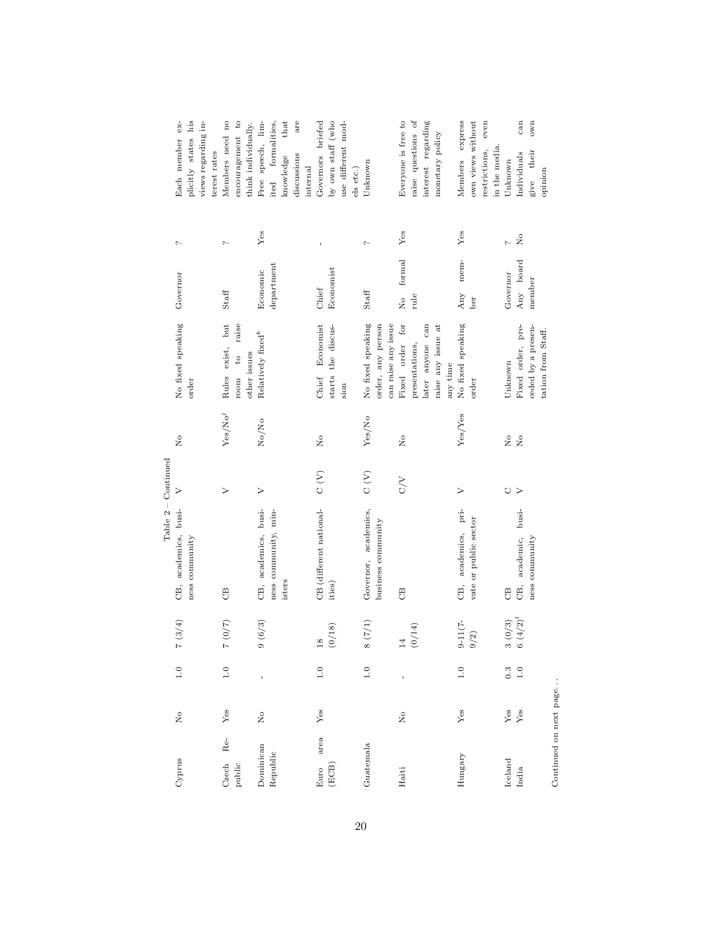|                        |                                            |                   |                                                       | Table 2 - Continued        |                  |                        |                                 |                         |                           |                       |
|------------------------|--------------------------------------------|-------------------|-------------------------------------------------------|----------------------------|------------------|------------------------|---------------------------------|-------------------------|---------------------------|-----------------------|
| Cyprus                 | $\frac{1}{2}$                              | 1.0               | 7(3/4)                                                | CB, academics, busi-       | $\triangleright$ | $\tilde{z}$            | No fixed speaking               | Governor                | $\sim$                    | $ex-$<br>Each member  |
|                        |                                            |                   |                                                       | ness community             |                  |                        | order                           |                         |                           | plicitly states his   |
|                        |                                            |                   |                                                       |                            |                  |                        |                                 |                         |                           | views regarding in-   |
|                        |                                            |                   |                                                       |                            |                  |                        |                                 |                         |                           | terest rates          |
| Re<br>Czech            | Yes                                        | $\overline{1.0}$  | $(2/0)$ $2$                                           | B                          | $\triangleright$ | ${\rm Yes}/{\rm No}^j$ | exist, but<br>Rules             | Staff                   | $\sim$                    | Members need no       |
| public                 |                                            |                   |                                                       |                            |                  |                        | raise<br>$\overline{c}$<br>room |                         |                           | encouragement to      |
|                        |                                            |                   |                                                       |                            |                  |                        | other issues                    |                         |                           | think individually.   |
| Dominican              | $\rm \stackrel{\circ}{\phantom{}_{\sim}}$  |                   | 9(6/3)                                                | CB, academics, busi-       | $\geq$           | No/No                  | Relatively fixed $\!k$          | Economic                | Yes                       | Free speech, lim-     |
| Republic               |                                            |                   |                                                       | ness community, min-       |                  |                        |                                 | department              |                           | formalities,<br>ited  |
|                        |                                            |                   |                                                       | isters                     |                  |                        |                                 |                         |                           | that<br>knowledge     |
|                        |                                            |                   |                                                       |                            |                  |                        |                                 |                         |                           | are<br>discussions    |
|                        |                                            |                   |                                                       |                            |                  |                        |                                 |                         |                           | internal              |
| area<br>Euro           | ${\rm Yes}$                                | 1.0               | $\frac{8}{18}$                                        | CB (different national-    | $\sum_{i=1}^{n}$ | Σ°                     | Economist<br>Chief              | Chief                   | $\mathbf{I}$              | Governors briefed     |
| (ECB)                  |                                            |                   | (0/18)                                                | ities)                     |                  |                        | starts the discus-              | Economist               |                           | by own staff (who     |
|                        |                                            |                   |                                                       |                            |                  |                        | sion                            |                         |                           | use different mod-    |
|                        |                                            |                   |                                                       |                            |                  |                        |                                 |                         |                           | els etc.)             |
| Guatemala              |                                            | 1.0               | 8(7/1)                                                | Governor, academics,       | $\rm _C$ (V)     | Yes/No                 | No fixed speaking               | Staff                   | $\sim$                    | Unknown               |
|                        |                                            |                   |                                                       | business community         |                  |                        | order, any person               |                         |                           |                       |
|                        |                                            |                   |                                                       |                            |                  |                        | can raise any issue             |                         |                           |                       |
| Haiti                  | $\rm \stackrel{\circ}{\rm \scriptstyle X}$ |                   | $14$                                                  | $\mathcal{L}$              | <b>NO</b>        | $\frac{1}{2}$          | for<br>Fixed order              | formal<br>$\frac{1}{2}$ | Yes                       | Everyone is free to   |
|                        |                                            |                   | (0/14)                                                |                            |                  |                        | presentations,                  | rule                    |                           | raise questions of    |
|                        |                                            |                   |                                                       |                            |                  |                        | later anyone can                |                         |                           | interest regarding    |
|                        |                                            |                   |                                                       |                            |                  |                        | raise any issue at              |                         |                           | monetary policy       |
|                        |                                            |                   |                                                       |                            |                  |                        | any time                        |                         |                           |                       |
| Hungary                | ${\rm Yes}$                                | 1.0               | $9 - 11(7 -$                                          | CB, academics, pri-        | $\geq$           | Yes/Yes                | No fixed speaking               | mem-<br>Any             | Yes                       | express<br>Members    |
|                        |                                            |                   | $9/2)$                                                | vate or public sector      |                  |                        | order                           | ber                     |                           | own views without     |
|                        |                                            |                   |                                                       |                            |                  |                        |                                 |                         |                           | even<br>restrictions, |
|                        |                                            |                   |                                                       |                            |                  |                        |                                 |                         |                           | in the media.         |
| Iceland                | $\rm Yes$                                  | 0.3               |                                                       | $\mathcal{C}^{\mathbf{B}}$ | O                | $\tilde{z}$            | Unknown                         | Governor                | $\sim$                    | Unknown               |
| India                  | Yes                                        | $\overline{1}$ .0 | $\begin{array}{c} 3\ (0/3) \\ 6\ (4/2)^l \end{array}$ | busi-<br>academic,<br>СB,  | $\geq$           | $\frac{1}{2}$          | Fixed order, pre-               | Any board               | $\mathsf{S}^{\mathsf{o}}$ | can<br>Individuals    |
|                        |                                            |                   |                                                       | ness community             |                  |                        | ceded by a presen-              | member                  |                           | own<br>give their     |
|                        |                                            |                   |                                                       |                            |                  |                        | tation from Staff.              |                         |                           | opinion               |
| Continued on next page |                                            |                   |                                                       |                            |                  |                        |                                 |                         |                           |                       |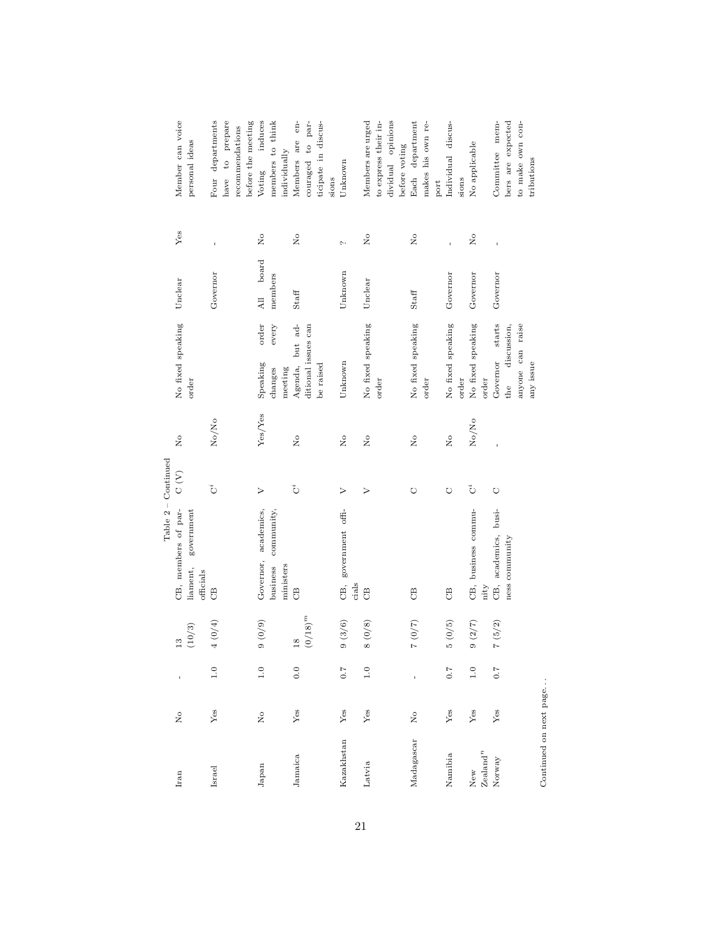|                         |                |                                 |                     |                                     | $Table 2 - Continued$ |                |                                   |                          |               |                      |
|-------------------------|----------------|---------------------------------|---------------------|-------------------------------------|-----------------------|----------------|-----------------------------------|--------------------------|---------------|----------------------|
| Iran                    | $\tilde{R}$    | f,                              | $\frac{3}{2}$       | CB, members of par-                 | $\sum_{i=1}^{n}$      | $\tilde{z}$    | No fixed speaking                 | Unclear                  | Yes           | Member can voice     |
|                         |                |                                 | $\left(10/3\right)$ | government<br>liament,<br>officials |                       |                | order                             |                          |               | personal ideas       |
| Israel                  | $Y$ es         | 1.0                             | $4~(0/4)$           | $\Theta$                            | تُ                    | No/No          |                                   | Governor                 |               | Four departments     |
|                         |                |                                 |                     |                                     |                       |                |                                   |                          |               | have to prepare      |
|                         |                |                                 |                     |                                     |                       |                |                                   |                          |               | recommendations      |
|                         |                |                                 |                     |                                     |                       |                |                                   |                          |               | before the meeting   |
| Japan                   | $\overline{N}$ | $\frac{0}{1}$                   | $(6/0)$ 6           | Governor, academics,                | $\triangleright$      | Yes/Yes        | order<br>Speaking                 | board<br>$\overline{AB}$ | $\frac{1}{2}$ | induces<br>Voting    |
|                         |                |                                 |                     | community,<br>business              |                       |                | $\operatorname{every}$<br>changes | members                  |               | members to think     |
|                         |                |                                 |                     | ministers                           |                       |                | meeting                           |                          |               | individually         |
| Jamaica                 | Yes            | 0.0                             | $\overline{18}$     | $\Theta$                            | $\ddot{\circ}$        | $\overline{R}$ | Agenda, but ad-                   | Staff                    | $\frac{1}{2}$ | Members are en-      |
|                         |                |                                 | $(0/18)^m$          |                                     |                       |                | ditional issues can               |                          |               | couraged to par-     |
|                         |                |                                 |                     |                                     |                       |                | be raised                         |                          |               | ticipate in discus-  |
|                         |                |                                 |                     |                                     |                       |                |                                   |                          |               | sions                |
| Kazakhstan              | Yes            | $\sim 7$                        | 9(3/6)              | government offi-<br>Œ,<br>cials     | >                     | $\overline{R}$ | Unknown                           | Unknown                  | $\sim$        | Unknown              |
|                         |                |                                 |                     |                                     |                       |                |                                   |                          |               |                      |
| Latvia                  | Yes            | $\overline{1.0}$                | $8\ (0/8)$          | $\Theta$                            | $\triangleright$      | $\tilde{z}$    | No fixed speaking                 | Unclear                  | $\frac{1}{2}$ | Members are urged    |
|                         |                |                                 |                     |                                     |                       |                | order                             |                          |               | to express their in- |
|                         |                |                                 |                     |                                     |                       |                |                                   |                          |               | dividual opinions    |
|                         |                |                                 |                     |                                     |                       |                |                                   |                          |               | before voting        |
| Madagascar              | $\frac{1}{2}$  |                                 | $(2/0)$ $\!2$       | <b>B</b>                            | O                     | $\frac{1}{2}$  | No fixed speaking                 | Staff                    | $\frac{1}{2}$ | department<br>Each   |
|                         |                |                                 |                     |                                     |                       |                | order                             |                          |               | makes his own re-    |
|                         |                |                                 |                     |                                     |                       |                |                                   |                          |               | $_{\rm port}$        |
| Namibia                 | $\rm Yes$      | $\overline{C}$ . $\overline{C}$ | $5\ (0/5)$          | $\mathcal{C}^{\mathbf{B}}$          | O                     | $\overline{R}$ | No fixed speaking                 | Governor                 |               | Individual discus-   |
|                         |                |                                 |                     |                                     |                       |                | order                             |                          |               | sions                |
| $_{\mathrm{New}}$       | $\rm Yes$      | 1.0                             | 9(2/7)              | CB, business commu-                 | $\mathring{\text{C}}$ | No/No          | No fixed speaking                 | Governor                 | $\frac{1}{2}$ | No applicable        |
| $Ze$ aland <sup>n</sup> |                |                                 |                     | nity                                |                       |                | order                             |                          |               |                      |
| Norway                  | Yes            | 7.0                             | 7(5/2)              | academics, busi-<br>CB,             | $\circ$               |                | starts<br>Governor                | Governor                 |               | Committee mem-       |
|                         |                |                                 |                     | ness community                      |                       |                | discussion,<br>$_{\text{the}}$    |                          |               | bers are expected    |
|                         |                |                                 |                     |                                     |                       |                | anyone can raise                  |                          |               | to make own con-     |
|                         |                |                                 |                     |                                     |                       |                | any issue                         |                          |               | tributions           |
| Continued on next page  |                |                                 |                     |                                     |                       |                |                                   |                          |               |                      |

21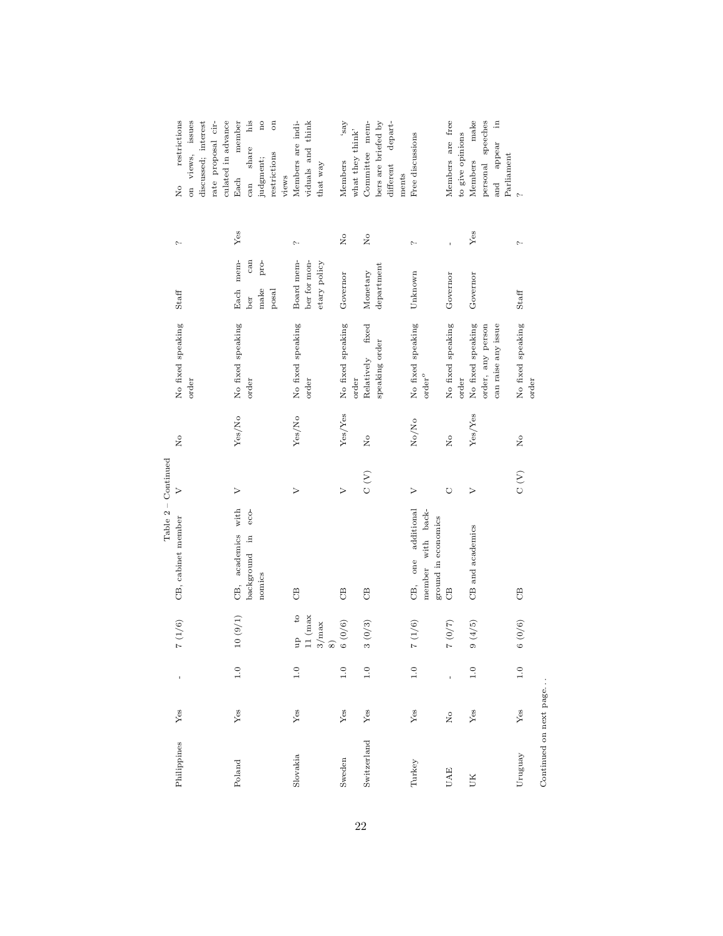|                        |                |               |                                           | $Table 2 - Continued$                      |                  |                            |                                               |                          |                |                                     |
|------------------------|----------------|---------------|-------------------------------------------|--------------------------------------------|------------------|----------------------------|-----------------------------------------------|--------------------------|----------------|-------------------------------------|
| Philippines            | Yes            | $\mathbf{I}$  | $7\ (1/6)$                                | CB, cabinet member                         | $\triangleright$ | $\mathsf{S}^{\mathsf{O}}$  | No fixed speaking                             | Staff                    | $\sim$         | restrictions<br>$\frac{1}{2}$       |
|                        |                |               |                                           |                                            |                  |                            | order                                         |                          |                | on views, issues                    |
|                        |                |               |                                           |                                            |                  |                            |                                               |                          |                | discussed; interest                 |
|                        |                |               |                                           |                                            |                  |                            |                                               |                          |                | rate proposal cir-                  |
|                        |                |               |                                           |                                            |                  |                            |                                               |                          |                | culated in advance                  |
| Poland                 | Yes            | $\frac{0}{1}$ | 10(9/1)                                   | with<br>CB, academics                      | $\geq$           | Yes/No                     | No fixed speaking                             | mem-<br>Each             | Yes            | member<br>Each                      |
|                        |                |               |                                           | $eco-$<br>background in                    |                  |                            | order                                         | can<br>ber               |                | $_{\rm his}$<br>share<br>can        |
|                        |                |               |                                           | nomics                                     |                  |                            |                                               | pro-<br>$_{\text{make}}$ |                | $\mathbf{n}\mathbf{o}$<br>judgment; |
|                        |                |               |                                           |                                            |                  |                            |                                               | posal                    |                | $\mathfrak{g}$<br>restrictions      |
|                        |                |               |                                           |                                            |                  |                            |                                               |                          |                | views                               |
| Slovakia               | Yes            | $\frac{0}{1}$ | up to                                     | $\mathcal{C}^{\mathbf{B}}$                 | $\triangleright$ | Yes/No                     | No fixed speaking                             | Board mem-               | $\sim$         | Members are indi-                   |
|                        |                |               | $11$ (max                                 |                                            |                  |                            | order                                         | ber for mon-             |                | viduals and think                   |
|                        |                |               | $\begin{array}{c} 3/\max \ 8 \end{array}$ |                                            |                  |                            |                                               | etary policy             |                | that way                            |
| Sweden                 | $\mathbf{Yes}$ | 1.0           | 6(0/6)                                    | $\mathcal{L}$                              | $\triangleright$ | Yes/Yes                    | No fixed speaking                             | Governor                 | $\overline{R}$ | Aes,<br>Members                     |
|                        |                |               |                                           |                                            |                  |                            | order                                         |                          |                | what they think'                    |
| Switzerland            | $\rm Yes$      | 1.0           | 3(0/3)                                    | $\mathcal{C}^{\mathbf{B}}$                 | $\rm{C}$ (V)     | $\tilde{z}$                | fixed<br>Relatively                           | Monetary                 | $\frac{1}{2}$  | Committee mem-                      |
|                        |                |               |                                           |                                            |                  |                            | speaking order                                | department               |                | bers are briefed by                 |
|                        |                |               |                                           |                                            |                  |                            |                                               |                          |                | different depart-                   |
|                        |                |               |                                           |                                            |                  |                            |                                               |                          |                | ments                               |
| Turkey                 | $Y$ es         | 1.0           | $7\ (1/6)$                                | one additional<br>member with back-<br>UB, | $\triangleright$ | No/No                      | No fixed speaking<br>$\operatorname{order}^o$ | Unknown                  | $\sim$         | Free discussions                    |
|                        |                |               |                                           | ground in economics                        |                  |                            |                                               |                          |                |                                     |
| <b>UAE</b>             | $\overline{R}$ |               | $(2/0)$ $2$                               | $\mathcal{L}$                              | $\circ$          | $\mathsf{R}^{\circ}$       | No fixed speaking                             | Governor                 | f,             | Members are free                    |
|                        |                |               |                                           |                                            |                  |                            | order                                         |                          |                | to give opinions                    |
| UК                     | Yes            | $\frac{0}{1}$ | 9(4/5)                                    | CB and academics                           | $\triangleright$ | Yes/Yes                    | No fixed speaking                             | Governor                 | Yes            | make<br>Members                     |
|                        |                |               |                                           |                                            |                  |                            | order, any person                             |                          |                | personal speeches                   |
|                        |                |               |                                           |                                            |                  |                            | can raise any issue                           |                          |                | $\tilde{=}$<br>appear<br>and        |
|                        |                |               |                                           |                                            |                  |                            |                                               |                          |                | Parliament                          |
| Uruguay                | Yes            | $\frac{0}{1}$ | 6(0/6)                                    | <b>B</b>                                   | $\sum_{i=1}^{n}$ | $\mathcal{L}_{\mathbf{O}}$ | No fixed speaking                             | $_{\rm Stat}$            | $\sim$         | $\sim$                              |
| Continued on next page |                |               |                                           |                                            |                  |                            | order                                         |                          |                |                                     |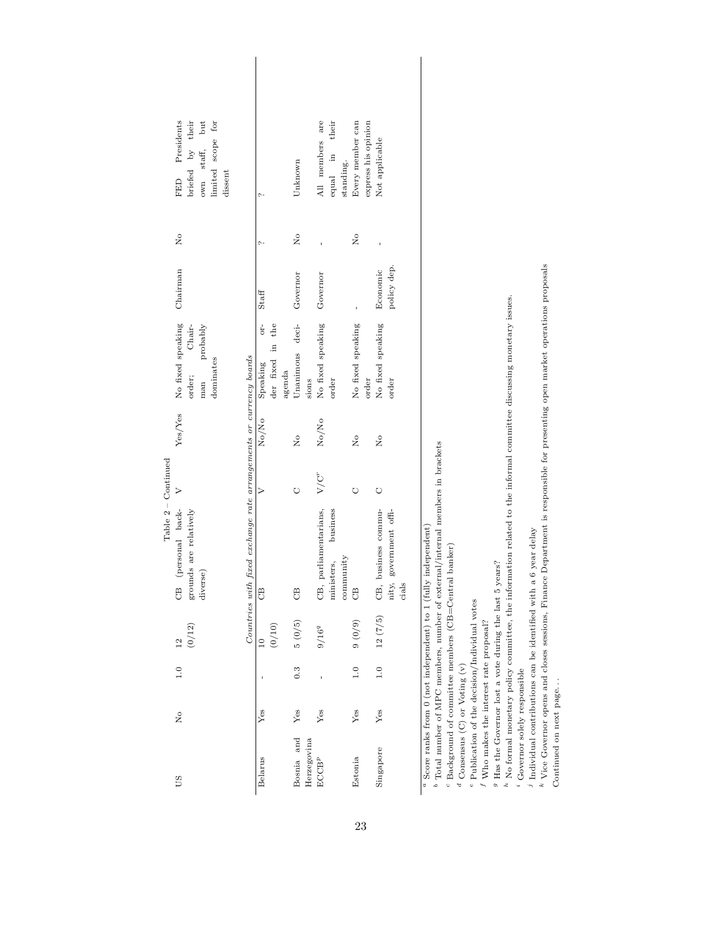|                     | FED Presidents<br>limited scope for<br>briefed by their<br>own staff, but<br>dissent                                             |                                               | Unknown                           | All members are<br>equal in their<br>standing.               | Every member can<br>express his opinion | Not applicable                                         |
|---------------------|----------------------------------------------------------------------------------------------------------------------------------|-----------------------------------------------|-----------------------------------|--------------------------------------------------------------|-----------------------------------------|--------------------------------------------------------|
|                     | $\overline{\mathsf{x}}$                                                                                                          |                                               | $\frac{1}{2}$                     |                                                              | $\frac{1}{2}$                           |                                                        |
|                     |                                                                                                                                  | Staff                                         |                                   | Governor                                                     |                                         | policy dep.<br>Economic                                |
|                     | No fixed speaking Chairman<br>Chair-<br>probably<br>dominates<br>order;<br>man                                                   | or-<br>der fixed in the<br>Speaking<br>agenda | Unanimous deci- Governor<br>sions | No fixed speaking<br>order                                   | No fixed speaking<br>order              | No fixed speaking<br>order                             |
|                     | Yes/Yes                                                                                                                          | No/No                                         | $\frac{1}{2}$                     | $\rm No/Mo$                                                  | 2°                                      | ž                                                      |
| Table 2 – Continued |                                                                                                                                  |                                               |                                   | $V/C^r$                                                      |                                         | $\circ$                                                |
|                     | Countries with fared exchange rate arrangements or currency boards<br>CB (personal back- V<br>grounds are relatively<br>diverse) | B                                             | B                                 | CB, parliamentarians,<br>business<br>ministers,<br>community | B                                       | CB, business commu-<br>nity, government offi-<br>cials |
|                     | $12$<br>(0/12)                                                                                                                   | (0/10)<br>10                                  | $5\ (0/5)$                        | $9/16^{q}$                                                   | $(6/0)$ 6                               | 12(7/5)                                                |
|                     | $\frac{1}{1}$ .0                                                                                                                 |                                               | 0.3                               |                                                              | 1.0                                     | 1.0                                                    |
|                     | $\overline{R}$                                                                                                                   | Yes                                           | Yes                               | Yes                                                          | Yes                                     | Yes                                                    |
|                     | SΩ                                                                                                                               | Belarus                                       | Bosnia and<br>Herzegovina         | $\mathrm{E}\mathrm{C}\mathrm{C}\mathrm{B}^p$                 | Estonia                                 | Singapore                                              |

Table  $2-$  Continued

| í<br>l<br>l<br>٦                                          |
|-----------------------------------------------------------|
| Ï<br>١                                                    |
| l<br>I                                                    |
| J<br>i<br>i<br>ı                                          |
| Ï<br>֕<br>ׇ֚֓֡<br>ī                                       |
| l<br>i<br>I<br>í                                          |
| i<br>l                                                    |
| l<br>Í                                                    |
| I<br>l                                                    |
| ۱<br>١                                                    |
| ¢<br>١                                                    |
|                                                           |
| l<br>I<br>١<br>Ï                                          |
|                                                           |
| í<br>J<br>١                                               |
| ï<br>Ï<br>١                                               |
| l<br>l<br>í<br>I                                          |
| l<br>I                                                    |
| ١<br>I<br>í<br>j<br>i                                     |
|                                                           |
| Ó<br>١<br>֖֖֖֧ׅ֧֚֚֚֚֚֚֚֚֚֚֚֚֚֚֚֚֚֚֚֚֚֚֚֚֚֚֚֚֚֚֡֬֝֝֓֞֝֬֝֓֬ |
| i<br>I<br>j<br>١                                          |
| l<br>ı<br>í                                               |
| I<br>I<br>֖֖֪ׅ֖֧֚֚֚֚֚֚֚֚֚֚֚֚֚֚֚֚֚֚֚֚֚֚֚֚֡֝֝֝֝֝֝֝֬֝        |
| l<br>j<br>٦<br>j                                          |
| Ì<br>í                                                    |
| I<br>١<br>j<br>l                                          |
| I<br>١<br>Ï<br>i                                          |
| l<br>Ï                                                    |
| ŝ<br>ł                                                    |

 $^{\rm b}$  Total number of MPC members, number of external/internal members in brackets Total number of MPC members, number of external/internal members in brackets

 $^c$  Background of committee members (CB=Central banker)

Background of committee members (CB=Central banker)

 $^{d}$  Consensus (C) or Voting (v)  $^a$  Consensus (C) or Voting (v)

 $\,$  Publication of the decision/Individual votes Publication of the decision/Individual votes

 $\ensuremath{^f}$  Who makes the interest rate proposal? Who makes the interest rate proposal?

 $^g$  Has the Governor lost a vote during the last 5 years? Has the Governor lost a vote during the last 5 years?

.. -No formal monetary policy committee, the information related to the informal committee discussing monetary issues.

Governor solely responsible

Individual contributions can be identified with a 6 year delay

 $\sim$   $\approx$ Vice Governor opens and closes sessions, Finance Department is responsible for presenting open market operations proposals

Continued on next page. . .  $\;$ Continued on next page. . .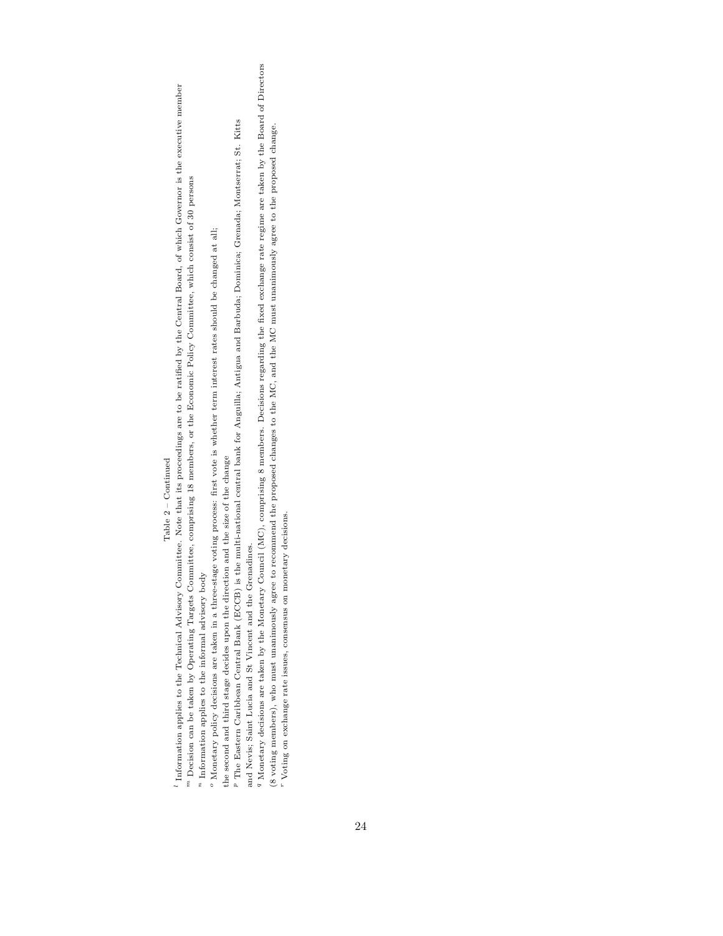# $Table 2 - {Continued}$ Table 2 – Continued

<sup>1</sup> Information applies to the Technical Advisory Committee. Note that its proceedings are to be ratified by the Central Board, of which Governor is the executive member Information applies to the Technical Advisory Committee. Note that its proceedings are to be ratified by the Central Board, of which Governor is the executive member  $^m$  Decision can be taken by Operating Targets Committee, comprising 18 members, or the Economic Policy Committee, which consist of 30 persons Decision can be taken by Operating Targets Committee, comprising 18 members, or the Economic Policy Committee, which consist of 30 persons

 $\real^n$  Information applies to the informal advisory body  $\frac{n}{l}$  Information applies to the informal advisory body

 $^o$  Monetary policy decisions are taken in a three-stage voting process: first vote is whether term interest rates should be changed at all; Monetary policy decisions are taken in a three-stage voting process: first vote is whether term interest rates should be changed at all;

the second and third stage decides upon the direction and the size of the change the second and third stage decides upon the direction and the size of the change

P The Eastern Caribbean Central Bank (ECCB) is the multi-national central bank for Anguilla; Antigua and Barbuda; Dominica; Grenada; Montserrat; St. Kitts The Eastern Caribbean Central Bank (ECCB) is the multi-national central bank for Anguilla; Antigua and Barbuda; Dominica; Grenada; Montserrat; St. Kitts and Nevis; Saint Lucia and St Vincent and the Grenadines. and Nevis; Saint Lucia and St Vincent and the Grenadines.

<sup>9</sup> Monetary decisions are taken by the Monetary Council (MC), comprising 8 members. Decisions regarding the fixed exchange rate regime are taken by the Board of Directors Monetary decisions are taken by the Monetary Council (MC), comprising 8 members. Decisions regarding the fixed exchange rate regime are taken by the Board of Directors (8 voting members), who must unanimously agree to recommend the proposed changes to the MC, and the MC must unanimously agree to the proposed change. (8 voting members), who must unanimously agree to recommend the proposed changes to the MC, and the MC must unanimously agree to the proposed change.

 $\real^r$  Voting on exchange rate issues, consensus on monetary decisions. Voting on exchange rate issues, consensus on monetary decisions.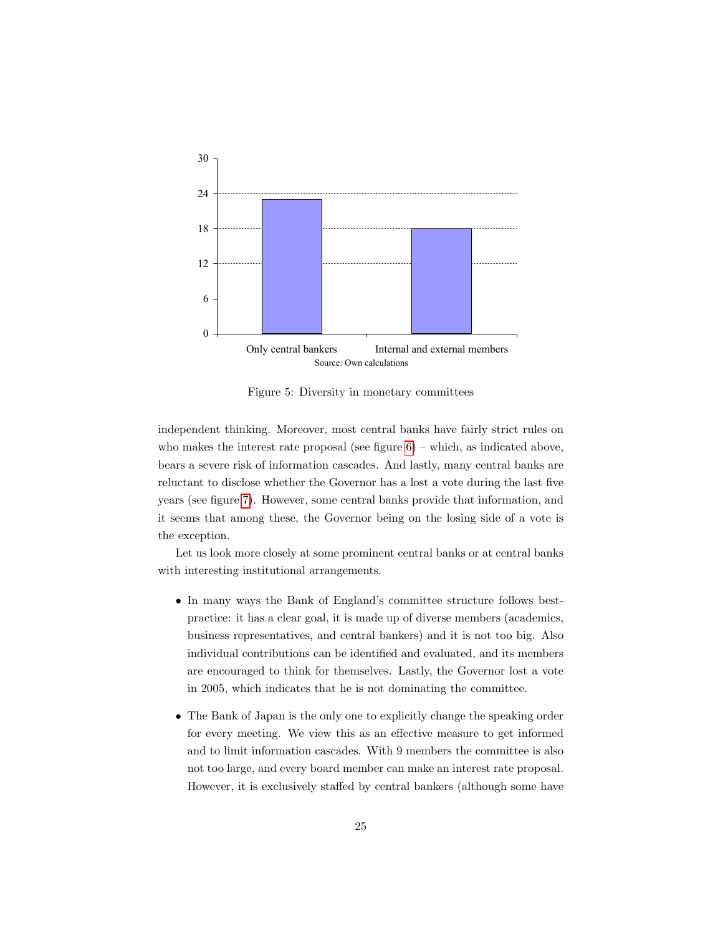

<span id="page-24-0"></span>Figure 5: Diversity in monetary committees

independent thinking. Moreover, most central banks have fairly strict rules on who makes the interest rate proposal (see figure  $6$ ) – which, as indicated above, bears a severe risk of information cascades. And lastly, many central banks are reluctant to disclose whether the Governor has a lost a vote during the last five years (see figure [7\)](#page-25-0). However, some central banks provide that information, and it seems that among these, the Governor being on the losing side of a vote is the exception.

Let us look more closely at some prominent central banks or at central banks with interesting institutional arrangements.

- In many ways the Bank of England's committee structure follows bestpractice: it has a clear goal, it is made up of diverse members (academics, business representatives, and central bankers) and it is not too big. Also individual contributions can be identified and evaluated, and its members are encouraged to think for themselves. Lastly, the Governor lost a vote in 2005, which indicates that he is not dominating the committee.
- The Bank of Japan is the only one to explicitly change the speaking order for every meeting. We view this as an effective measure to get informed and to limit information cascades. With 9 members the committee is also not too large, and every board member can make an interest rate proposal. However, it is exclusively staffed by central bankers (although some have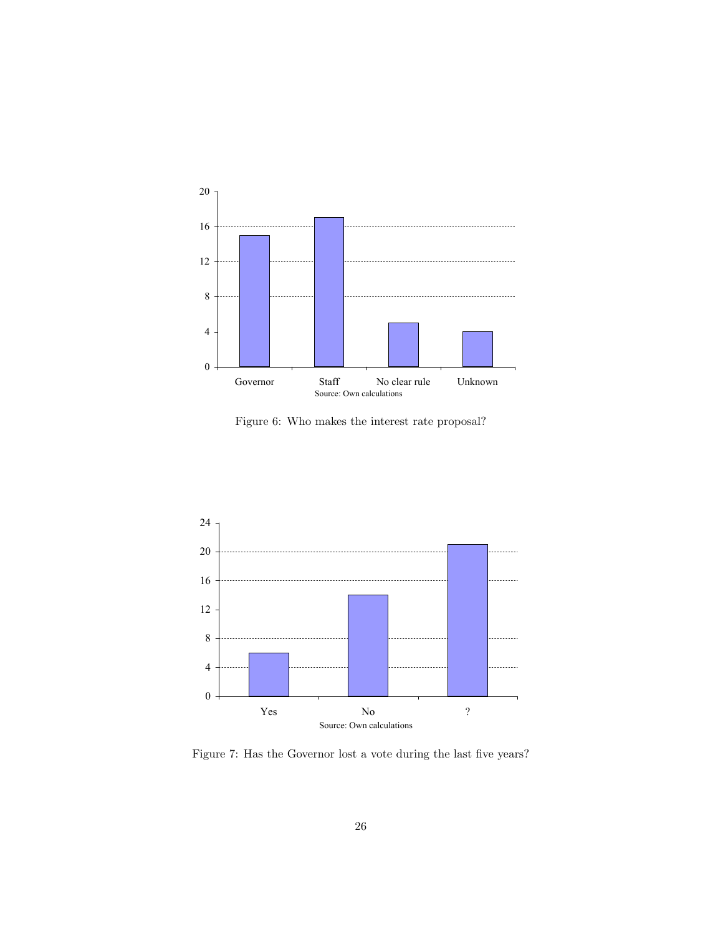

<span id="page-25-1"></span>Figure 6: Who makes the interest rate proposal?



<span id="page-25-0"></span>Figure 7: Has the Governor lost a vote during the last five years?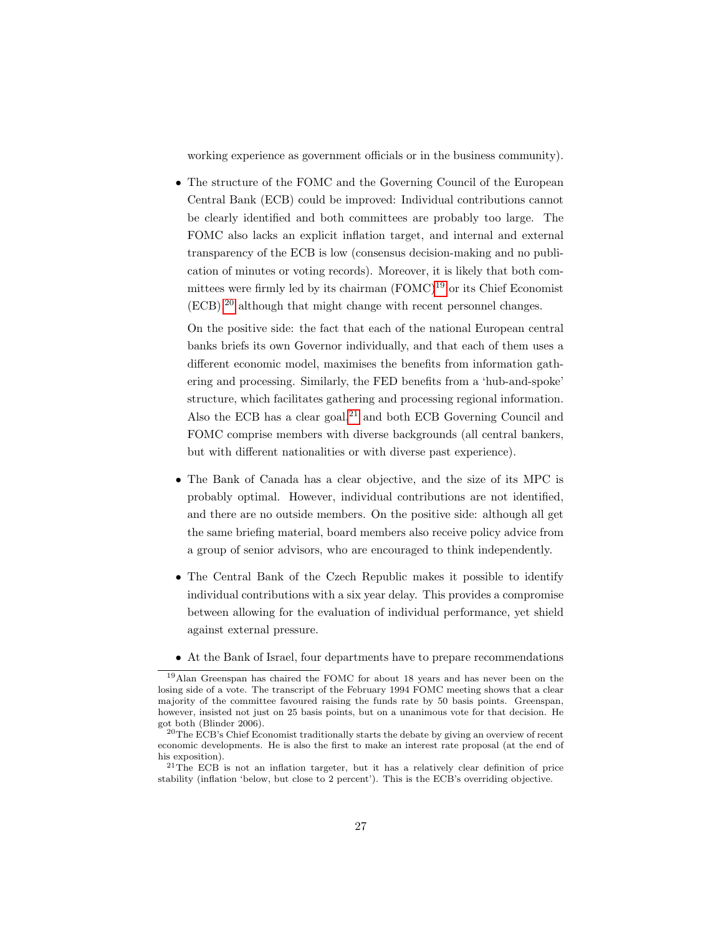working experience as government officials or in the business community).

• The structure of the FOMC and the Governing Council of the European Central Bank (ECB) could be improved: Individual contributions cannot be clearly identified and both committees are probably too large. The FOMC also lacks an explicit inflation target, and internal and external transparency of the ECB is low (consensus decision-making and no publication of minutes or voting records). Moreover, it is likely that both committees were firmly led by its chairman  $(FOMC)^{19}$  $(FOMC)^{19}$  $(FOMC)^{19}$  or its Chief Economist (ECB),[20](#page-26-1) although that might change with recent personnel changes.

On the positive side: the fact that each of the national European central banks briefs its own Governor individually, and that each of them uses a different economic model, maximises the benefits from information gathering and processing. Similarly, the FED benefits from a 'hub-and-spoke' structure, which facilitates gathering and processing regional information. Also the ECB has a clear goal, $21$  and both ECB Governing Council and FOMC comprise members with diverse backgrounds (all central bankers, but with different nationalities or with diverse past experience).

- The Bank of Canada has a clear objective, and the size of its MPC is probably optimal. However, individual contributions are not identified, and there are no outside members. On the positive side: although all get the same briefing material, board members also receive policy advice from a group of senior advisors, who are encouraged to think independently.
- The Central Bank of the Czech Republic makes it possible to identify individual contributions with a six year delay. This provides a compromise between allowing for the evaluation of individual performance, yet shield against external pressure.
- At the Bank of Israel, four departments have to prepare recommendations

<span id="page-26-0"></span><sup>19</sup>Alan Greenspan has chaired the FOMC for about 18 years and has never been on the losing side of a vote. The transcript of the February 1994 FOMC meeting shows that a clear majority of the committee favoured raising the funds rate by 50 basis points. Greenspan, however, insisted not just on 25 basis points, but on a unanimous vote for that decision. He got both (Blinder 2006).

<span id="page-26-1"></span><sup>20</sup>The ECB's Chief Economist traditionally starts the debate by giving an overview of recent economic developments. He is also the first to make an interest rate proposal (at the end of his exposition).

<span id="page-26-2"></span> $21$ The ECB is not an inflation targeter, but it has a relatively clear definition of price stability (inflation 'below, but close to 2 percent'). This is the ECB's overriding objective.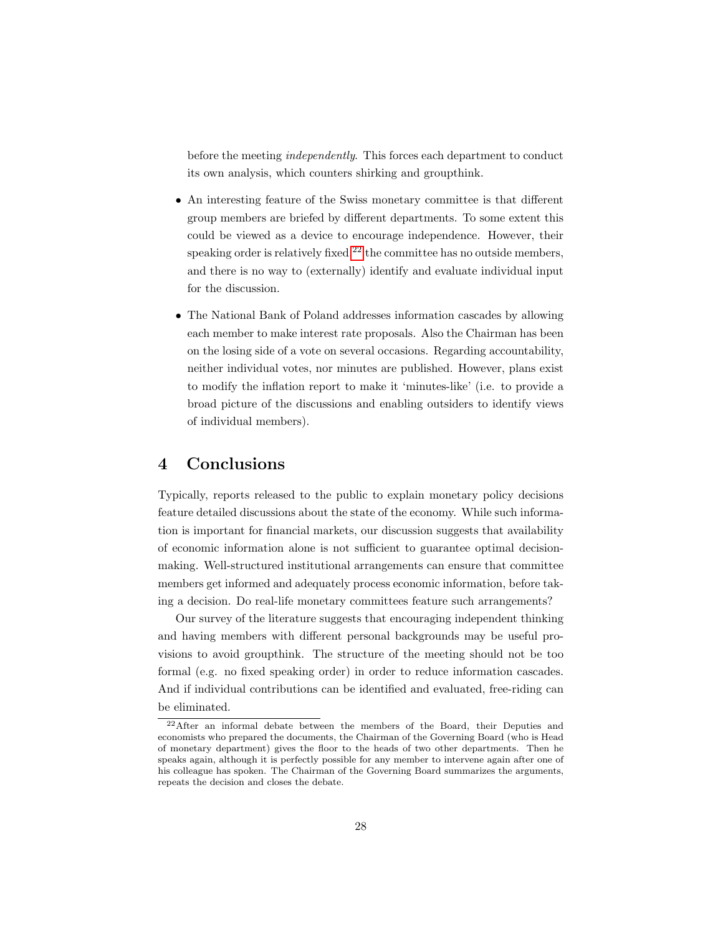before the meeting *independently*. This forces each department to conduct its own analysis, which counters shirking and groupthink.

- An interesting feature of the Swiss monetary committee is that different group members are briefed by different departments. To some extent this could be viewed as a device to encourage independence. However, their speaking order is relatively fixed,  $^{22}$  $^{22}$  $^{22}$  the committee has no outside members, and there is no way to (externally) identify and evaluate individual input for the discussion.
- The National Bank of Poland addresses information cascades by allowing each member to make interest rate proposals. Also the Chairman has been on the losing side of a vote on several occasions. Regarding accountability, neither individual votes, nor minutes are published. However, plans exist to modify the inflation report to make it 'minutes-like' (i.e. to provide a broad picture of the discussions and enabling outsiders to identify views of individual members).

# 4 Conclusions

Typically, reports released to the public to explain monetary policy decisions feature detailed discussions about the state of the economy. While such information is important for financial markets, our discussion suggests that availability of economic information alone is not sufficient to guarantee optimal decisionmaking. Well-structured institutional arrangements can ensure that committee members get informed and adequately process economic information, before taking a decision. Do real-life monetary committees feature such arrangements?

Our survey of the literature suggests that encouraging independent thinking and having members with different personal backgrounds may be useful provisions to avoid groupthink. The structure of the meeting should not be too formal (e.g. no fixed speaking order) in order to reduce information cascades. And if individual contributions can be identified and evaluated, free-riding can be eliminated.

<span id="page-27-0"></span><sup>22</sup>After an informal debate between the members of the Board, their Deputies and economists who prepared the documents, the Chairman of the Governing Board (who is Head of monetary department) gives the floor to the heads of two other departments. Then he speaks again, although it is perfectly possible for any member to intervene again after one of his colleague has spoken. The Chairman of the Governing Board summarizes the arguments, repeats the decision and closes the debate.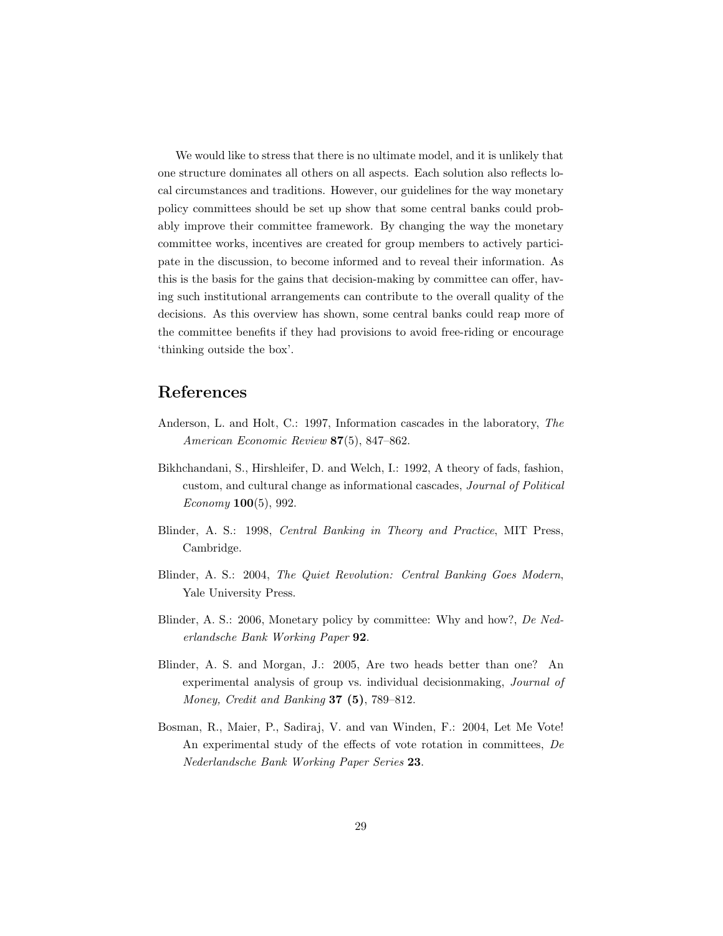We would like to stress that there is no ultimate model, and it is unlikely that one structure dominates all others on all aspects. Each solution also reflects local circumstances and traditions. However, our guidelines for the way monetary policy committees should be set up show that some central banks could probably improve their committee framework. By changing the way the monetary committee works, incentives are created for group members to actively participate in the discussion, to become informed and to reveal their information. As this is the basis for the gains that decision-making by committee can offer, having such institutional arrangements can contribute to the overall quality of the decisions. As this overview has shown, some central banks could reap more of the committee benefits if they had provisions to avoid free-riding or encourage 'thinking outside the box'.

# References

- Anderson, L. and Holt, C.: 1997, Information cascades in the laboratory, The American Economic Review 87(5), 847–862.
- Bikhchandani, S., Hirshleifer, D. and Welch, I.: 1992, A theory of fads, fashion, custom, and cultural change as informational cascades, Journal of Political  $Economy 100(5), 992.$
- Blinder, A. S.: 1998, Central Banking in Theory and Practice, MIT Press, Cambridge.
- Blinder, A. S.: 2004, The Quiet Revolution: Central Banking Goes Modern, Yale University Press.
- Blinder, A. S.: 2006, Monetary policy by committee: Why and how?, De Nederlandsche Bank Working Paper 92.
- Blinder, A. S. and Morgan, J.: 2005, Are two heads better than one? An experimental analysis of group vs. individual decisionmaking, Journal of Money, Credit and Banking  $37$  (5), 789–812.
- Bosman, R., Maier, P., Sadiraj, V. and van Winden, F.: 2004, Let Me Vote! An experimental study of the effects of vote rotation in committees,  $De$ Nederlandsche Bank Working Paper Series 23.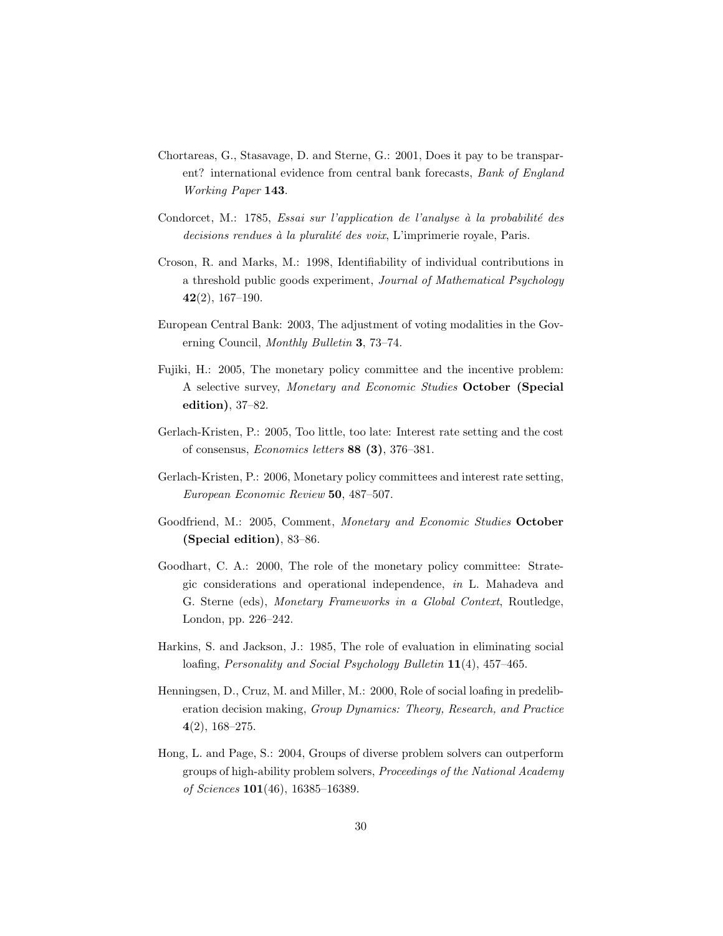- Chortareas, G., Stasavage, D. and Sterne, G.: 2001, Does it pay to be transparent? international evidence from central bank forecasts, Bank of England Working Paper 143.
- Condorcet, M.: 1785, Essai sur l'application de l'analyse à la probabilité des  $decisions$  rendues à la pluralité des voix, L'imprimerie royale, Paris.
- Croson, R. and Marks, M.: 1998, Identifiability of individual contributions in a threshold public goods experiment, *Journal of Mathematical Psychology*  $42(2), 167-190.$
- European Central Bank: 2003, The adjustment of voting modalities in the Governing Council, Monthly Bulletin 3, 73–74.
- Fujiki, H.: 2005, The monetary policy committee and the incentive problem: A selective survey, Monetary and Economic Studies October (Special edition), 37–82.
- Gerlach-Kristen, P.: 2005, Too little, too late: Interest rate setting and the cost of consensus, Economics letters 88 (3), 376–381.
- Gerlach-Kristen, P.: 2006, Monetary policy committees and interest rate setting, European Economic Review 50, 487–507.
- Goodfriend, M.: 2005, Comment, Monetary and Economic Studies October (Special edition), 83–86.
- Goodhart, C. A.: 2000, The role of the monetary policy committee: Strategic considerations and operational independence, in L. Mahadeva and G. Sterne (eds), Monetary Frameworks in a Global Context, Routledge, London, pp. 226–242.
- Harkins, S. and Jackson, J.: 1985, The role of evaluation in eliminating social loafing, *Personality and Social Psychology Bulletin* 11(4), 457–465.
- Henningsen, D., Cruz, M. and Miller, M.: 2000, Role of social loafing in predeliberation decision making, Group Dynamics: Theory, Research, and Practice  $4(2)$ , 168-275.
- Hong, L. and Page, S.: 2004, Groups of diverse problem solvers can outperform groups of high-ability problem solvers, Proceedings of the National Academy of Sciences 101(46), 16385–16389.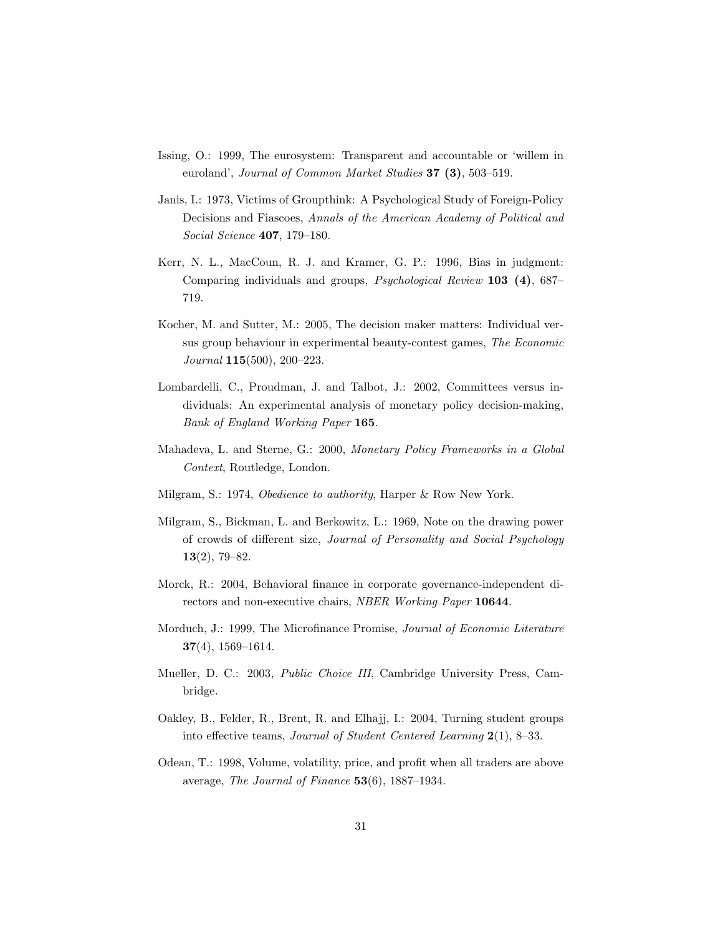- Issing, O.: 1999, The eurosystem: Transparent and accountable or 'willem in euroland', Journal of Common Market Studies  $37$   $(3)$ , 503-519.
- Janis, I.: 1973, Victims of Groupthink: A Psychological Study of Foreign-Policy Decisions and Fiascoes, Annals of the American Academy of Political and Social Science 407, 179–180.
- Kerr, N. L., MacCoun, R. J. and Kramer, G. P.: 1996, Bias in judgment: Comparing individuals and groups, *Psychological Review* 103 (4), 687– 719.
- Kocher, M. and Sutter, M.: 2005, The decision maker matters: Individual versus group behaviour in experimental beauty-contest games, The Economic Journal 115(500), 200–223.
- Lombardelli, C., Proudman, J. and Talbot, J.: 2002, Committees versus individuals: An experimental analysis of monetary policy decision-making, Bank of England Working Paper 165.
- Mahadeva, L. and Sterne, G.: 2000, Monetary Policy Frameworks in a Global Context, Routledge, London.
- Milgram, S.: 1974, Obedience to authority, Harper & Row New York.
- Milgram, S., Bickman, L. and Berkowitz, L.: 1969, Note on the drawing power of crowds of different size, Journal of Personality and Social Psychology 13(2), 79–82.
- Morck, R.: 2004, Behavioral finance in corporate governance-independent directors and non-executive chairs, NBER Working Paper 10644.
- Morduch, J.: 1999, The Microfinance Promise, Journal of Economic Literature  $37(4)$ , 1569–1614.
- Mueller, D. C.: 2003, Public Choice III, Cambridge University Press, Cambridge.
- Oakley, B., Felder, R., Brent, R. and Elhajj, I.: 2004, Turning student groups into effective teams, Journal of Student Centered Learning 2(1), 8–33.
- Odean, T.: 1998, Volume, volatility, price, and profit when all traders are above average, The Journal of Finance 53(6), 1887–1934.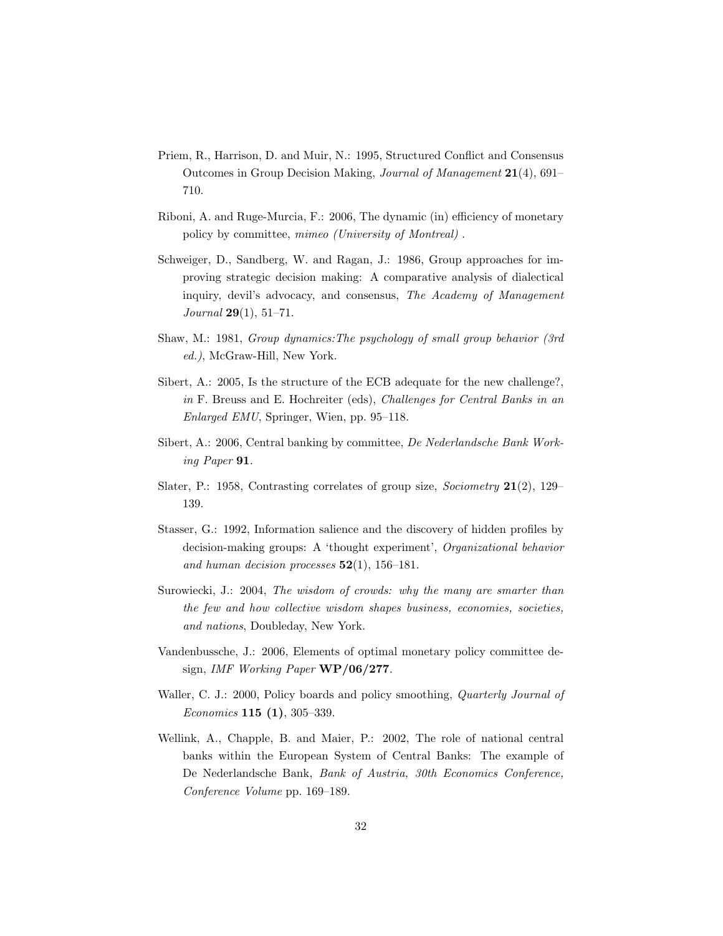- Priem, R., Harrison, D. and Muir, N.: 1995, Structured Conflict and Consensus Outcomes in Group Decision Making, Journal of Management 21(4), 691– 710.
- Riboni, A. and Ruge-Murcia, F.: 2006, The dynamic (in) efficiency of monetary policy by committee, mimeo (University of Montreal) .
- Schweiger, D., Sandberg, W. and Ragan, J.: 1986, Group approaches for improving strategic decision making: A comparative analysis of dialectical inquiry, devil's advocacy, and consensus, The Academy of Management Journal 29(1), 51–71.
- Shaw, M.: 1981, Group dynamics:The psychology of small group behavior (3rd ed.), McGraw-Hill, New York.
- Sibert, A.: 2005, Is the structure of the ECB adequate for the new challenge?, in F. Breuss and E. Hochreiter (eds), Challenges for Central Banks in an Enlarged EMU, Springer, Wien, pp. 95–118.
- Sibert, A.: 2006, Central banking by committee, De Nederlandsche Bank Working Paper 91.
- Slater, P.: 1958, Contrasting correlates of group size, *Sociometry*  $21(2)$ , 129– 139.
- Stasser, G.: 1992, Information salience and the discovery of hidden profiles by decision-making groups: A 'thought experiment', Organizational behavior and human decision processes  $52(1)$ , 156-181.
- Surowiecki, J.: 2004, The wisdom of crowds: why the many are smarter than the few and how collective wisdom shapes business, economies, societies, and nations, Doubleday, New York.
- Vandenbussche, J.: 2006, Elements of optimal monetary policy committee design, IMF Working Paper WP/06/277.
- Waller, C. J.: 2000, Policy boards and policy smoothing, *Quarterly Journal of* Economics 115 (1), 305–339.
- Wellink, A., Chapple, B. and Maier, P.: 2002, The role of national central banks within the European System of Central Banks: The example of De Nederlandsche Bank, Bank of Austria, 30th Economics Conference, Conference Volume pp. 169–189.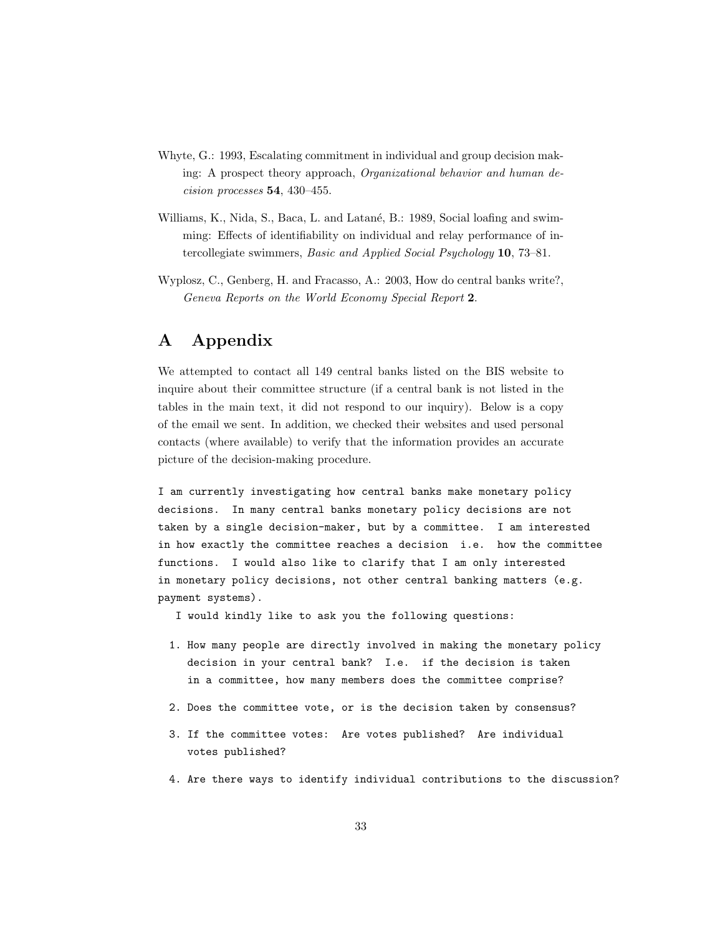- Whyte, G.: 1993, Escalating commitment in individual and group decision making: A prospect theory approach, Organizational behavior and human decision processes 54, 430–455.
- Williams, K., Nida, S., Baca, L. and Latané, B.: 1989, Social loafing and swimming: Effects of identifiability on individual and relay performance of intercollegiate swimmers, Basic and Applied Social Psychology 10, 73–81.
- Wyplosz, C., Genberg, H. and Fracasso, A.: 2003, How do central banks write?, Geneva Reports on the World Economy Special Report 2.

# A Appendix

We attempted to contact all 149 central banks listed on the BIS website to inquire about their committee structure (if a central bank is not listed in the tables in the main text, it did not respond to our inquiry). Below is a copy of the email we sent. In addition, we checked their websites and used personal contacts (where available) to verify that the information provides an accurate picture of the decision-making procedure.

I am currently investigating how central banks make monetary policy decisions. In many central banks monetary policy decisions are not taken by a single decision-maker, but by a committee. I am interested in how exactly the committee reaches a decision i.e. how the committee functions. I would also like to clarify that I am only interested in monetary policy decisions, not other central banking matters (e.g. payment systems).

I would kindly like to ask you the following questions:

- 1. How many people are directly involved in making the monetary policy decision in your central bank? I.e. if the decision is taken in a committee, how many members does the committee comprise?
- 2. Does the committee vote, or is the decision taken by consensus?
- 3. If the committee votes: Are votes published? Are individual votes published?
- 4. Are there ways to identify individual contributions to the discussion?